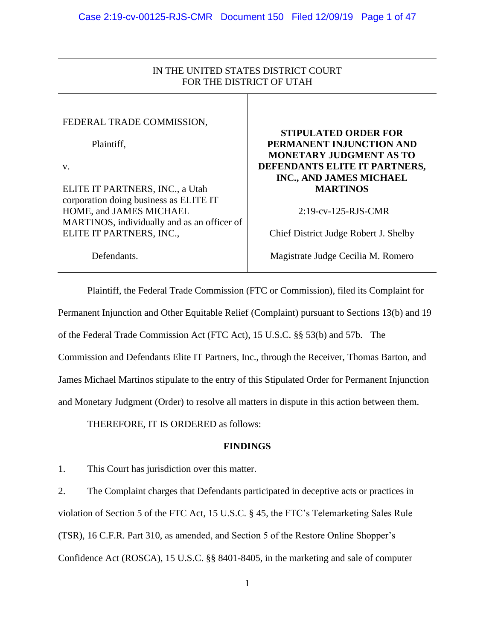# IN THE UNITED STATES DISTRICT COURT FOR THE DISTRICT OF UTAH

# FEDERAL TRADE COMMISSION,

Plaintiff,

v.

ELITE IT PARTNERS, INC., a Utah corporation doing business as ELITE IT HOME, and JAMES MICHAEL MARTINOS, individually and as an officer of ELITE IT PARTNERS, INC.,

# **PERMANENT INJUNCTION AND MONETARY JUDGMENT AS TO DEFENDANTS ELITE IT PARTNERS, INC., AND JAMES MICHAEL MARTINOS**

**STIPULATED ORDER FOR** 

2:19-cv-125-RJS-CMR

Chief District Judge Robert J. Shelby

Defendants.

# Magistrate Judge Cecilia M. Romero

 of the Federal Trade Commission Act (FTC Act), 15 U.S.C. §§ 53(b) and 57b. The Plaintiff, the Federal Trade Commission (FTC or Commission), filed its Complaint for Permanent Injunction and Other Equitable Relief (Complaint) pursuant to Sections 13(b) and 19 Commission and Defendants Elite IT Partners, Inc., through the Receiver, Thomas Barton, and James Michael Martinos stipulate to the entry of this Stipulated Order for Permanent Injunction and Monetary Judgment (Order) to resolve all matters in dispute in this action between them.

THEREFORE, IT IS ORDERED as follows:

# **FINDINGS**

1. This Court has jurisdiction over this matter.

2. The Complaint charges that Defendants participated in deceptive acts or practices in violation of Section 5 of the FTC Act, 15 U.S.C. § 45, the FTC's Telemarketing Sales Rule (TSR), 16 C.F.R. Part 310, as amended, and Section 5 of the Restore Online Shopper's Confidence Act (ROSCA), 15 U.S.C. §§ 8401-8405, in the marketing and sale of computer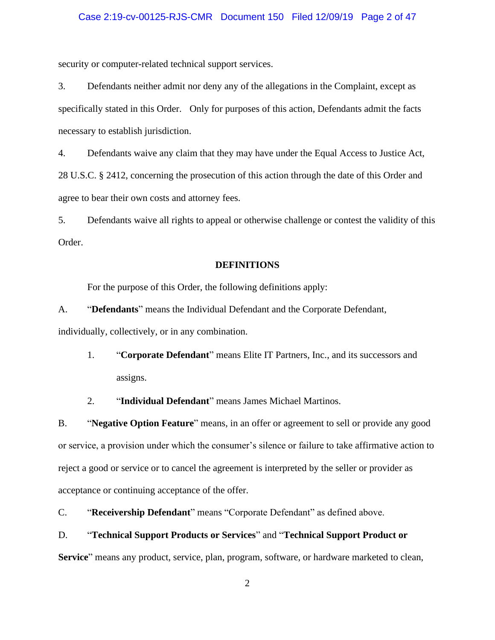# Case 2:19-cv-00125-RJS-CMR Document 150 Filed 12/09/19 Page 2 of 47

security or computer-related technical support services.

3. Defendants neither admit nor deny any of the allegations in the Complaint, except as specifically stated in this Order. Only for purposes of this action, Defendants admit the facts necessary to establish jurisdiction.

4. Defendants waive any claim that they may have under the Equal Access to Justice Act, 28 U.S.C. § 2412, concerning the prosecution of this action through the date of this Order and agree to bear their own costs and attorney fees.

5. Defendants waive all rights to appeal or otherwise challenge or contest the validity of this Order.

# **DEFINITIONS**

For the purpose of this Order, the following definitions apply:

A. "**Defendants**" means the Individual Defendant and the Corporate Defendant, individually, collectively, or in any combination.

1. "**Corporate Defendant**" means Elite IT Partners, Inc., and its successors and assigns.

2. "**Individual Defendant**" means James Michael Martinos.

B. "**Negative Option Feature**" means, in an offer or agreement to sell or provide any good or service, a provision under which the consumer's silence or failure to take affirmative action to reject a good or service or to cancel the agreement is interpreted by the seller or provider as acceptance or continuing acceptance of the offer.

C. "**Receivership Defendant**" means "Corporate Defendant" as defined above.

# D. "**Technical Support Products or Services**" and "**Technical Support Product or**

Service" means any product, service, plan, program, software, or hardware marketed to clean,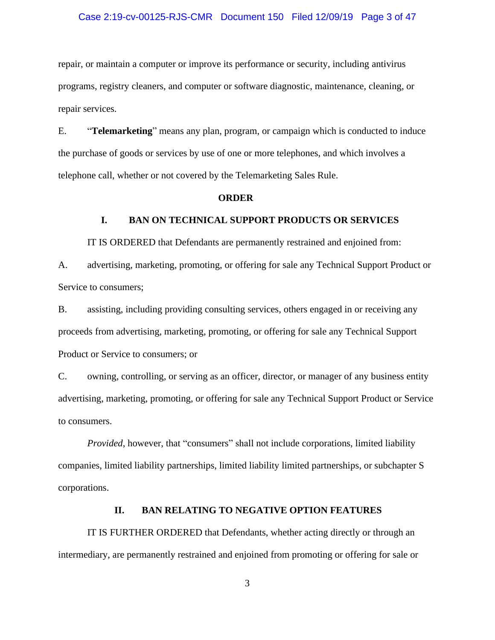# Case 2:19-cv-00125-RJS-CMR Document 150 Filed 12/09/19 Page 3 of 47

repair, or maintain a computer or improve its performance or security, including antivirus programs, registry cleaners, and computer or software diagnostic, maintenance, cleaning, or repair services.

E. "**Telemarketing**" means any plan, program, or campaign which is conducted to induce the purchase of goods or services by use of one or more telephones, and which involves a telephone call, whether or not covered by the Telemarketing Sales Rule.

#### **ORDER**

# **I. BAN ON TECHNICAL SUPPORT PRODUCTS OR SERVICES**

IT IS ORDERED that Defendants are permanently restrained and enjoined from:

A. advertising, marketing, promoting, or offering for sale any Technical Support Product or Service to consumers;

B. assisting, including providing consulting services, others engaged in or receiving any proceeds from advertising, marketing, promoting, or offering for sale any Technical Support Product or Service to consumers; or

C. owning, controlling, or serving as an officer, director, or manager of any business entity advertising, marketing, promoting, or offering for sale any Technical Support Product or Service to consumers.

*Provided*, however, that "consumers" shall not include corporations, limited liability companies, limited liability partnerships, limited liability limited partnerships, or subchapter S corporations.

# **II. BAN RELATING TO NEGATIVE OPTION FEATURES**

IT IS FURTHER ORDERED that Defendants, whether acting directly or through an intermediary, are permanently restrained and enjoined from promoting or offering for sale or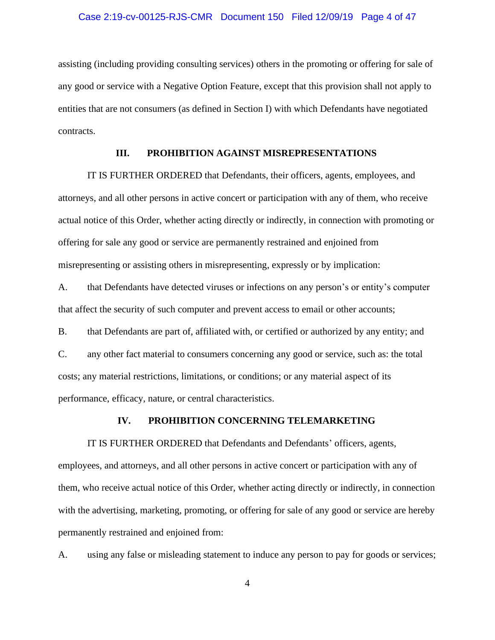assisting (including providing consulting services) others in the promoting or offering for sale of any good or service with a Negative Option Feature, except that this provision shall not apply to entities that are not consumers (as defined in Section I) with which Defendants have negotiated contracts.

# **III. PROHIBITION AGAINST MISREPRESENTATIONS**

IT IS FURTHER ORDERED that Defendants, their officers, agents, employees, and attorneys, and all other persons in active concert or participation with any of them, who receive actual notice of this Order, whether acting directly or indirectly, in connection with promoting or offering for sale any good or service are permanently restrained and enjoined from misrepresenting or assisting others in misrepresenting, expressly or by implication:

A. that Defendants have detected viruses or infections on any person's or entity's computer that affect the security of such computer and prevent access to email or other accounts;

B. that Defendants are part of, affiliated with, or certified or authorized by any entity; and C. any other fact material to consumers concerning any good or service, such as: the total costs; any material restrictions, limitations, or conditions; or any material aspect of its performance, efficacy, nature, or central characteristics.

### **IV. PROHIBITION CONCERNING TELEMARKETING**

IT IS FURTHER ORDERED that Defendants and Defendants' officers, agents, employees, and attorneys, and all other persons in active concert or participation with any of them, who receive actual notice of this Order, whether acting directly or indirectly, in connection with the advertising, marketing, promoting, or offering for sale of any good or service are hereby permanently restrained and enjoined from:

A. using any false or misleading statement to induce any person to pay for goods or services;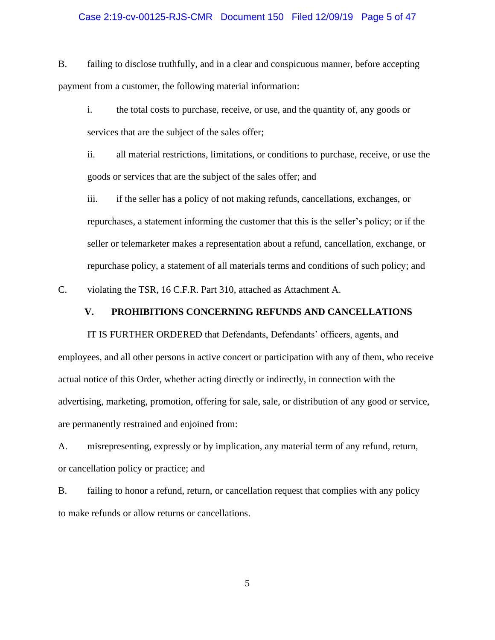#### Case 2:19-cv-00125-RJS-CMR Document 150 Filed 12/09/19 Page 5 of 47

B. failing to disclose truthfully, and in a clear and conspicuous manner, before accepting payment from a customer, the following material information:

i. the total costs to purchase, receive, or use, and the quantity of, any goods or services that are the subject of the sales offer;

ii. all material restrictions, limitations, or conditions to purchase, receive, or use the goods or services that are the subject of the sales offer; and

iii. if the seller has a policy of not making refunds, cancellations, exchanges, or repurchases, a statement informing the customer that this is the seller's policy; or if the seller or telemarketer makes a representation about a refund, cancellation, exchange, or repurchase policy, a statement of all materials terms and conditions of such policy; and

C. violating the TSR, 16 C.F.R. Part 310, attached as Attachment A.

# **V. PROHIBITIONS CONCERNING REFUNDS AND CANCELLATIONS**

IT IS FURTHER ORDERED that Defendants, Defendants' officers, agents, and employees, and all other persons in active concert or participation with any of them, who receive actual notice of this Order, whether acting directly or indirectly, in connection with the advertising, marketing, promotion, offering for sale, sale, or distribution of any good or service, are permanently restrained and enjoined from:

A. misrepresenting, expressly or by implication, any material term of any refund, return, or cancellation policy or practice; and

B. failing to honor a refund, return, or cancellation request that complies with any policy to make refunds or allow returns or cancellations.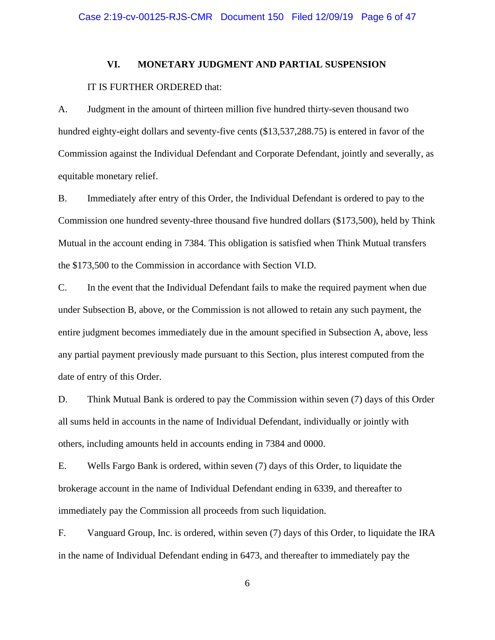#### **VI. MONETARY JUDGMENT AND PARTIAL SUSPENSION**

# IT IS FURTHER ORDERED that:

A. Judgment in the amount of thirteen million five hundred thirty-seven thousand two hundred eighty-eight dollars and seventy-five cents (\$13,537,288.75) is entered in favor of the Commission against the Individual Defendant and Corporate Defendant, jointly and severally, as equitable monetary relief.

B. Immediately after entry of this Order, the Individual Defendant is ordered to pay to the Commission one hundred seventy-three thousand five hundred dollars (\$173,500), held by Think Mutual in the account ending in 7384. This obligation is satisfied when Think Mutual transfers the \$173,500 to the Commission in accordance with Section VI.D.

C. In the event that the Individual Defendant fails to make the required payment when due under Subsection B, above, or the Commission is not allowed to retain any such payment, the entire judgment becomes immediately due in the amount specified in Subsection A, above, less any partial payment previously made pursuant to this Section, plus interest computed from the date of entry of this Order.

D. Think Mutual Bank is ordered to pay the Commission within seven (7) days of this Order all sums held in accounts in the name of Individual Defendant, individually or jointly with others, including amounts held in accounts ending in 7384 and 0000.

E. Wells Fargo Bank is ordered, within seven (7) days of this Order, to liquidate the brokerage account in the name of Individual Defendant ending in 6339, and thereafter to immediately pay the Commission all proceeds from such liquidation.

F. Vanguard Group, Inc. is ordered, within seven (7) days of this Order, to liquidate the IRA in the name of Individual Defendant ending in 6473, and thereafter to immediately pay the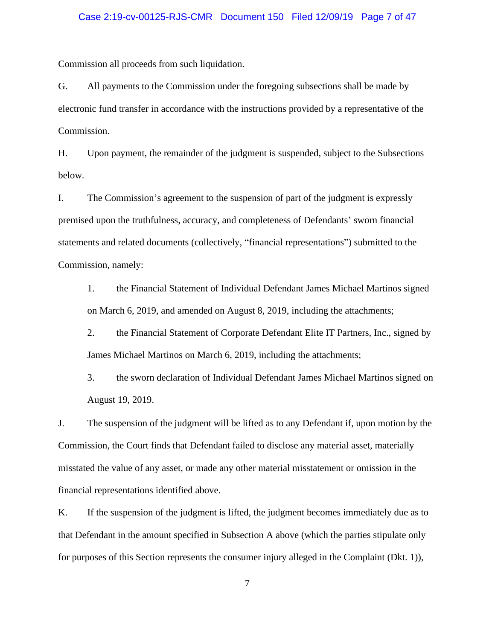# Case 2:19-cv-00125-RJS-CMR Document 150 Filed 12/09/19 Page 7 of 47

Commission all proceeds from such liquidation.

G. All payments to the Commission under the foregoing subsections shall be made by electronic fund transfer in accordance with the instructions provided by a representative of the Commission.

H. Upon payment, the remainder of the judgment is suspended, subject to the Subsections below.

I. The Commission's agreement to the suspension of part of the judgment is expressly premised upon the truthfulness, accuracy, and completeness of Defendants' sworn financial statements and related documents (collectively, "financial representations") submitted to the Commission, namely:

1. the Financial Statement of Individual Defendant James Michael Martinos signed on March 6, 2019, and amended on August 8, 2019, including the attachments;

2. the Financial Statement of Corporate Defendant Elite IT Partners, Inc., signed by James Michael Martinos on March 6, 2019, including the attachments;

3. the sworn declaration of Individual Defendant James Michael Martinos signed on August 19, 2019.

J. The suspension of the judgment will be lifted as to any Defendant if, upon motion by the Commission, the Court finds that Defendant failed to disclose any material asset, materially misstated the value of any asset, or made any other material misstatement or omission in the financial representations identified above.

K. If the suspension of the judgment is lifted, the judgment becomes immediately due as to that Defendant in the amount specified in Subsection A above (which the parties stipulate only for purposes of this Section represents the consumer injury alleged in the Complaint (Dkt. 1)),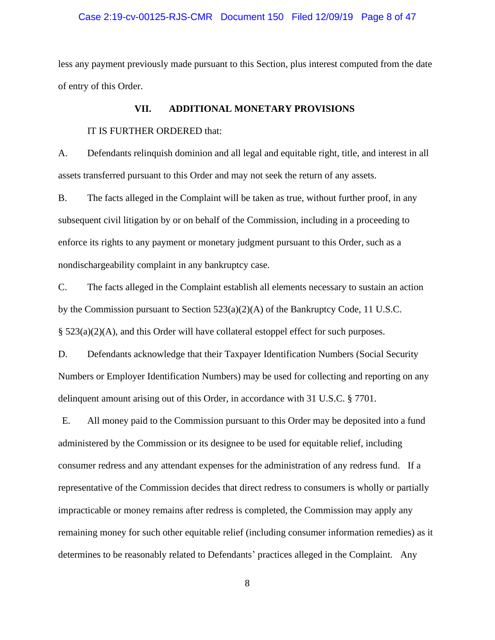#### Case 2:19-cv-00125-RJS-CMR Document 150 Filed 12/09/19 Page 8 of 47

less any payment previously made pursuant to this Section, plus interest computed from the date of entry of this Order.

#### **VII. ADDITIONAL MONETARY PROVISIONS**

### IT IS FURTHER ORDERED that:

A. Defendants relinquish dominion and all legal and equitable right, title, and interest in all assets transferred pursuant to this Order and may not seek the return of any assets.

B. The facts alleged in the Complaint will be taken as true, without further proof, in any subsequent civil litigation by or on behalf of the Commission, including in a proceeding to enforce its rights to any payment or monetary judgment pursuant to this Order, such as a nondischargeability complaint in any bankruptcy case.

C. The facts alleged in the Complaint establish all elements necessary to sustain an action by the Commission pursuant to Section  $523(a)(2)(A)$  of the Bankruptcy Code, 11 U.S.C. § 523(a)(2)(A), and this Order will have collateral estoppel effect for such purposes.

D. Defendants acknowledge that their Taxpayer Identification Numbers (Social Security Numbers or Employer Identification Numbers) may be used for collecting and reporting on any delinquent amount arising out of this Order, in accordance with 31 U.S.C. § 7701.

 consumer redress and any attendant expenses for the administration of any redress fund. If a determines to be reasonably related to Defendants' practices alleged in the Complaint. Any E. All money paid to the Commission pursuant to this Order may be deposited into a fund administered by the Commission or its designee to be used for equitable relief, including representative of the Commission decides that direct redress to consumers is wholly or partially impracticable or money remains after redress is completed, the Commission may apply any remaining money for such other equitable relief (including consumer information remedies) as it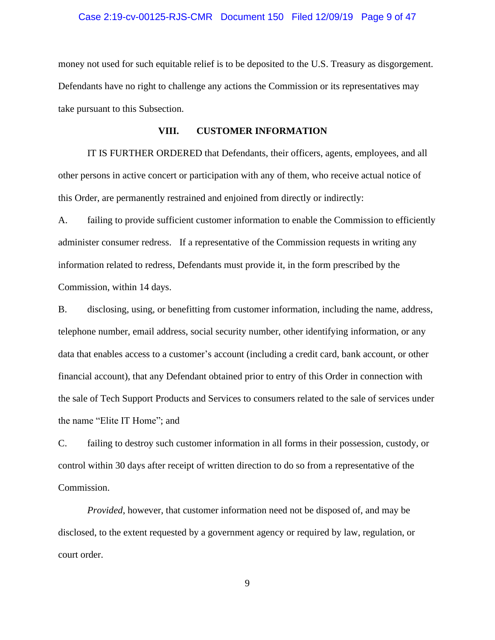#### Case 2:19-cv-00125-RJS-CMR Document 150 Filed 12/09/19 Page 9 of 47

money not used for such equitable relief is to be deposited to the U.S. Treasury as disgorgement. Defendants have no right to challenge any actions the Commission or its representatives may take pursuant to this Subsection.

#### **VIII. CUSTOMER INFORMATION**

IT IS FURTHER ORDERED that Defendants, their officers, agents, employees, and all other persons in active concert or participation with any of them, who receive actual notice of this Order, are permanently restrained and enjoined from directly or indirectly:

A. failing to provide sufficient customer information to enable the Commission to efficiently administer consumer redress. If a representative of the Commission requests in writing any information related to redress, Defendants must provide it, in the form prescribed by the Commission, within 14 days.

B. disclosing, using, or benefitting from customer information, including the name, address, telephone number, email address, social security number, other identifying information, or any data that enables access to a customer's account (including a credit card, bank account, or other financial account), that any Defendant obtained prior to entry of this Order in connection with the sale of Tech Support Products and Services to consumers related to the sale of services under the name "Elite IT Home"; and

C. failing to destroy such customer information in all forms in their possession, custody, or control within 30 days after receipt of written direction to do so from a representative of the Commission.

court order. *Provided*, however, that customer information need not be disposed of, and may be disclosed, to the extent requested by a government agency or required by law, regulation, or court order.<br>9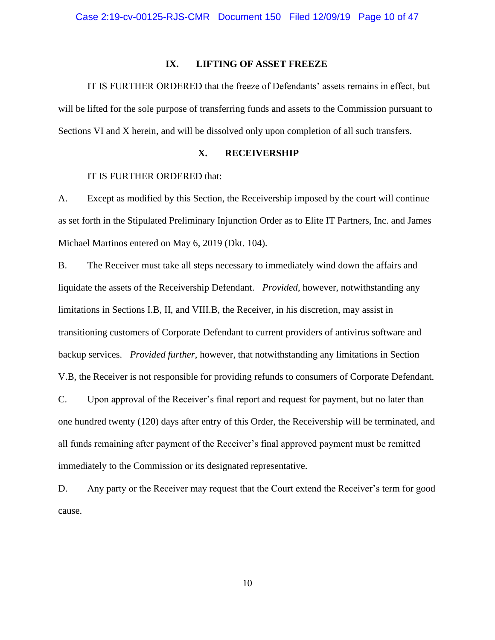# **IX. LIFTING OF ASSET FREEZE**

IT IS FURTHER ORDERED that the freeze of Defendants' assets remains in effect, but will be lifted for the sole purpose of transferring funds and assets to the Commission pursuant to Sections VI and X herein, and will be dissolved only upon completion of all such transfers.

# **X. RECEIVERSHIP**

### IT IS FURTHER ORDERED that:

A. Except as modified by this Section, the Receivership imposed by the court will continue as set forth in the Stipulated Preliminary Injunction Order as to Elite IT Partners, Inc. and James Michael Martinos entered on May 6, 2019 (Dkt. 104).

 liquidate the assets of the Receivership Defendant. *Provided*, however, notwithstanding any backup services. *Provided further*, however, that notwithstanding any limitations in Section B. The Receiver must take all steps necessary to immediately wind down the affairs and limitations in Sections I.B, II, and VIII.B, the Receiver, in his discretion, may assist in transitioning customers of Corporate Defendant to current providers of antivirus software and V.B, the Receiver is not responsible for providing refunds to consumers of Corporate Defendant.

C. Upon approval of the Receiver's final report and request for payment, but no later than one hundred twenty (120) days after entry of this Order, the Receivership will be terminated, and all funds remaining after payment of the Receiver's final approved payment must be remitted immediately to the Commission or its designated representative.

D. Any party or the Receiver may request that the Court extend the Receiver's term for good cause.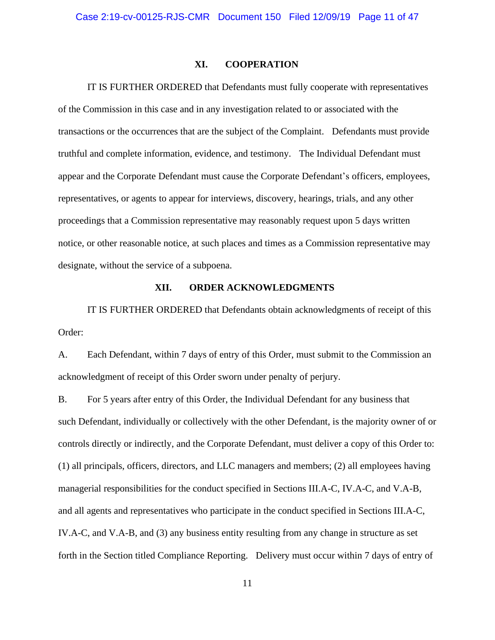#### **XI. COOPERATION**

IT IS FURTHER ORDERED that Defendants must fully cooperate with representatives of the Commission in this case and in any investigation related to or associated with the transactions or the occurrences that are the subject of the Complaint. Defendants must provide truthful and complete information, evidence, and testimony. The Individual Defendant must appear and the Corporate Defendant must cause the Corporate Defendant's officers, employees, representatives, or agents to appear for interviews, discovery, hearings, trials, and any other proceedings that a Commission representative may reasonably request upon 5 days written notice, or other reasonable notice, at such places and times as a Commission representative may designate, without the service of a subpoena.

# **XII. ORDER ACKNOWLEDGMENTS**

IT IS FURTHER ORDERED that Defendants obtain acknowledgments of receipt of this Order:

A. Each Defendant, within 7 days of entry of this Order, must submit to the Commission an acknowledgment of receipt of this Order sworn under penalty of perjury.

B. For 5 years after entry of this Order, the Individual Defendant for any business that such Defendant, individually or collectively with the other Defendant, is the majority owner of or controls directly or indirectly, and the Corporate Defendant, must deliver a copy of this Order to: (1) all principals, officers, directors, and LLC managers and members; (2) all employees having managerial responsibilities for the conduct specified in Sections III.A-C, IV.A-C, and V.A-B, and all agents and representatives who participate in the conduct specified in Sections III.A-C, IV.A-C, and V.A-B, and (3) any business entity resulting from any change in structure as set forth in the Section titled Compliance Reporting. Delivery must occur within 7 days of entry of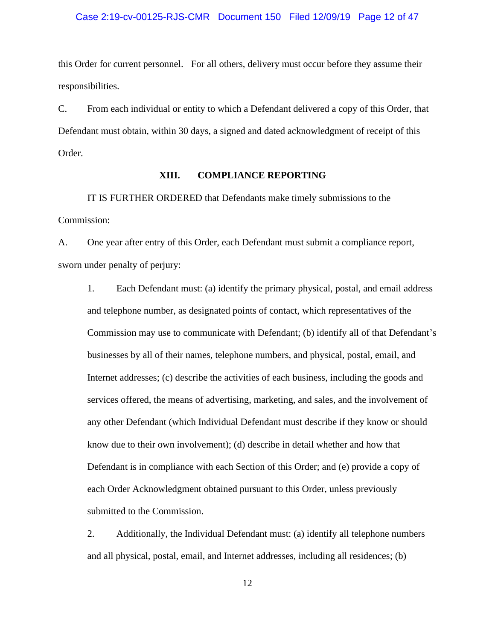# Case 2:19-cv-00125-RJS-CMR Document 150 Filed 12/09/19 Page 12 of 47

this Order for current personnel. For all others, delivery must occur before they assume their responsibilities.

C. From each individual or entity to which a Defendant delivered a copy of this Order, that Defendant must obtain, within 30 days, a signed and dated acknowledgment of receipt of this Order.

# **XIII. COMPLIANCE REPORTING**

IT IS FURTHER ORDERED that Defendants make timely submissions to the Commission:

A. One year after entry of this Order, each Defendant must submit a compliance report, sworn under penalty of perjury:

1. Each Defendant must: (a) identify the primary physical, postal, and email address and telephone number, as designated points of contact, which representatives of the Commission may use to communicate with Defendant; (b) identify all of that Defendant's businesses by all of their names, telephone numbers, and physical, postal, email, and Internet addresses; (c) describe the activities of each business, including the goods and services offered, the means of advertising, marketing, and sales, and the involvement of any other Defendant (which Individual Defendant must describe if they know or should know due to their own involvement); (d) describe in detail whether and how that Defendant is in compliance with each Section of this Order; and (e) provide a copy of each Order Acknowledgment obtained pursuant to this Order, unless previously submitted to the Commission.

2. Additionally, the Individual Defendant must: (a) identify all telephone numbers and all physical, postal, email, and Internet addresses, including all residences; (b)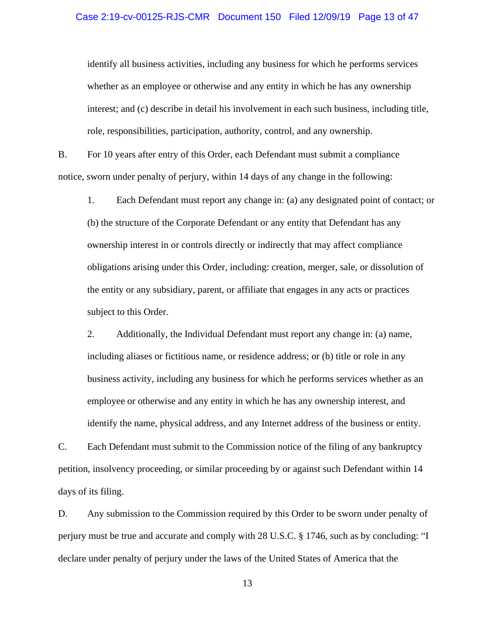identify all business activities, including any business for which he performs services whether as an employee or otherwise and any entity in which he has any ownership interest; and (c) describe in detail his involvement in each such business, including title, role, responsibilities, participation, authority, control, and any ownership.

B. For 10 years after entry of this Order, each Defendant must submit a compliance notice, sworn under penalty of perjury, within 14 days of any change in the following:

1. Each Defendant must report any change in: (a) any designated point of contact; or (b) the structure of the Corporate Defendant or any entity that Defendant has any ownership interest in or controls directly or indirectly that may affect compliance obligations arising under this Order, including: creation, merger, sale, or dissolution of the entity or any subsidiary, parent, or affiliate that engages in any acts or practices subject to this Order.

2. Additionally, the Individual Defendant must report any change in: (a) name, including aliases or fictitious name, or residence address; or (b) title or role in any business activity, including any business for which he performs services whether as an employee or otherwise and any entity in which he has any ownership interest, and identify the name, physical address, and any Internet address of the business or entity.

C. Each Defendant must submit to the Commission notice of the filing of any bankruptcy petition, insolvency proceeding, or similar proceeding by or against such Defendant within 14 days of its filing.

D. Any submission to the Commission required by this Order to be sworn under penalty of perjury must be true and accurate and comply with 28 U.S.C. § 1746, such as by concluding: "I declare under penalty of perjury under the laws of the United States of America that the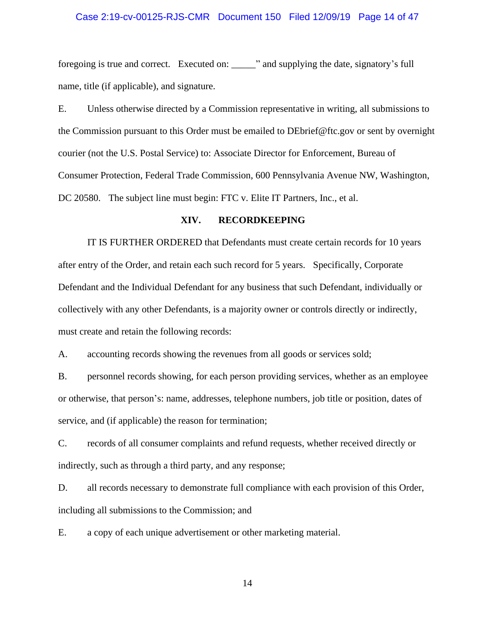#### Case 2:19-cv-00125-RJS-CMR Document 150 Filed 12/09/19 Page 14 of 47

foregoing is true and correct. Executed on: \_\_\_\_\_" and supplying the date, signatory's full name, title (if applicable), and signature.

E. Unless otherwise directed by a Commission representative in writing, all submissions to the Commission pursuant to this Order must be emailed to DEbrief@ftc.gov or sent by overnight courier (not the U.S. Postal Service) to: Associate Director for Enforcement, Bureau of Consumer Protection, Federal Trade Commission, 600 Pennsylvania Avenue NW, Washington, DC 20580. The subject line must begin: FTC v. Elite IT Partners, Inc., et al.

### **XIV. RECORDKEEPING**

IT IS FURTHER ORDERED that Defendants must create certain records for 10 years after entry of the Order, and retain each such record for 5 years. Specifically, Corporate Defendant and the Individual Defendant for any business that such Defendant, individually or collectively with any other Defendants, is a majority owner or controls directly or indirectly, must create and retain the following records:

A. accounting records showing the revenues from all goods or services sold;

B. personnel records showing, for each person providing services, whether as an employee or otherwise, that person's: name, addresses, telephone numbers, job title or position, dates of service, and (if applicable) the reason for termination;

C. records of all consumer complaints and refund requests, whether received directly or indirectly, such as through a third party, and any response;

D. all records necessary to demonstrate full compliance with each provision of this Order, including all submissions to the Commission; and

E. a copy of each unique advertisement or other marketing material.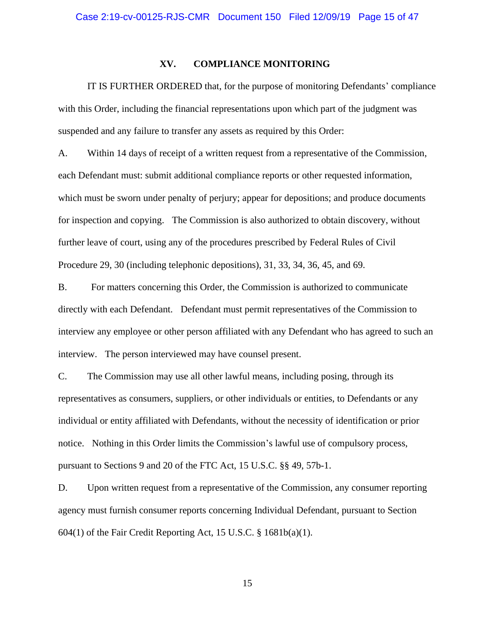# **XV. COMPLIANCE MONITORING**

IT IS FURTHER ORDERED that, for the purpose of monitoring Defendants' compliance with this Order, including the financial representations upon which part of the judgment was suspended and any failure to transfer any assets as required by this Order:

A. Within 14 days of receipt of a written request from a representative of the Commission, each Defendant must: submit additional compliance reports or other requested information, which must be sworn under penalty of perjury; appear for depositions; and produce documents for inspection and copying. The Commission is also authorized to obtain discovery, without further leave of court, using any of the procedures prescribed by Federal Rules of Civil Procedure 29, 30 (including telephonic depositions), 31, 33, 34, 36, 45, and 69.

B. For matters concerning this Order, the Commission is authorized to communicate directly with each Defendant. Defendant must permit representatives of the Commission to interview any employee or other person affiliated with any Defendant who has agreed to such an interview. The person interviewed may have counsel present.

C. The Commission may use all other lawful means, including posing, through its representatives as consumers, suppliers, or other individuals or entities, to Defendants or any individual or entity affiliated with Defendants, without the necessity of identification or prior notice. Nothing in this Order limits the Commission's lawful use of compulsory process, pursuant to Sections 9 and 20 of the FTC Act, 15 U.S.C. §§ 49, 57b-1.

D. Upon written request from a representative of the Commission, any consumer reporting agency must furnish consumer reports concerning Individual Defendant, pursuant to Section 604(1) of the Fair Credit Reporting Act, 15 U.S.C. § 1681b(a)(1).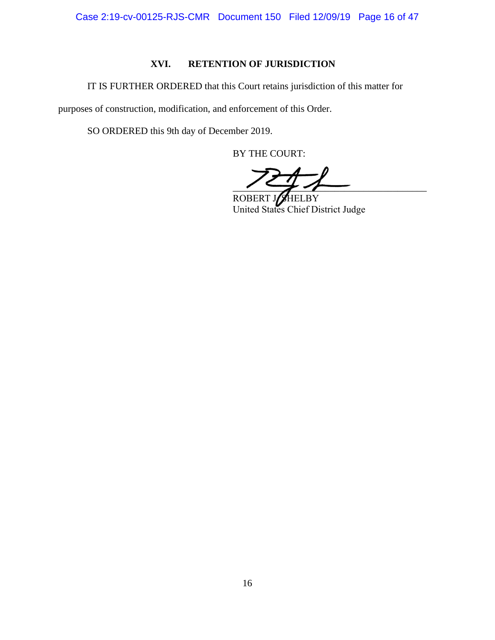Case 2:19-cv-00125-RJS-CMR Document 150 Filed 12/09/19 Page 16 of 47

# **XVI. RETENTION OF JURISDICTION**

IT IS FURTHER ORDERED that this Court retains jurisdiction of this matter for

purposes of construction, modification, and enforcement of this Order.

SO ORDERED this 9th day of December 2019.

BY THE COURT:

 $\overline{\phantom{a}}$ 

ROBERT JAHELBY United States Chief District Judge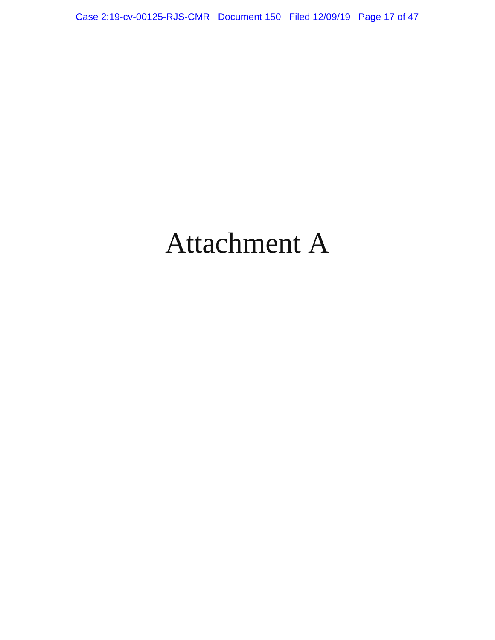# Attachment A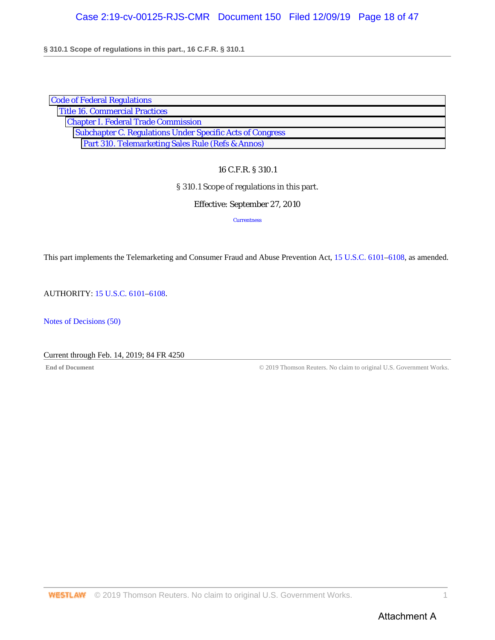**§ 310.1 Scope of regulations in this part., 16 C.F.R. § 310.1** 

| <b>Code of Federal Regulations</b>                               |
|------------------------------------------------------------------|
| <b>Title 16. Commercial Practices</b>                            |
| <b>Chapter I. Federal Trade Commission</b>                       |
| <b>Subchapter C. Regulations Under Specific Acts of Congress</b> |
| Part 310. Telemarketing Sales Rule (Refs & Annos)                |

# 16 C.F.R. § 310.1

# § 310.1 Scope of regulations in this part.

Effective: September 27, 2010

**Currentness** 

This part implements the Telemarketing and Consumer Fraud and Abuse Prevention Act, 15 U.S.C. 6101–6108, as amended.

AUTHORITY: 15 U.S.C. 6101–6108.

Notes of Decisions (50)

Current through Feb. 14, 2019; 84 FR 4250

**End of Document** © 2019 Thomson Reuters. No claim to original U.S. Government Works.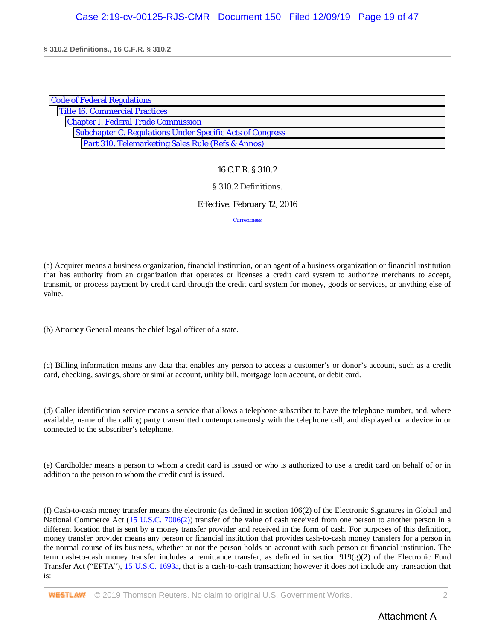| <b>Code of Federal Regulations</b>                               |
|------------------------------------------------------------------|
| <b>Title 16. Commercial Practices</b>                            |
| <b>Chapter I. Federal Trade Commission</b>                       |
| <b>Subchapter C. Regulations Under Specific Acts of Congress</b> |
| Part 310. Telemarketing Sales Rule (Refs & Annos)                |

# 16 C.F.R. § 310.2

#### § 310.2 Definitions.

# Effective: February 12, 2016

**Currentness** 

(a) Acquirer means a business organization, financial institution, or an agent of a business organization or financial institution that has authority from an organization that operates or licenses a credit card system to authorize merchants to accept, transmit, or process payment by credit card through the credit card system for money, goods or services, or anything else of value.

(b) Attorney General means the chief legal officer of a state.

(c) Billing information means any data that enables any person to access a customer's or donor's account, such as a credit card, checking, savings, share or similar account, utility bill, mortgage loan account, or debit card.

(d) Caller identification service means a service that allows a telephone subscriber to have the telephone number, and, where available, name of the calling party transmitted contemporaneously with the telephone call, and displayed on a device in or connected to the subscriber's telephone.

(e) Cardholder means a person to whom a credit card is issued or who is authorized to use a credit card on behalf of or in addition to the person to whom the credit card is issued.

(f) Cash-to-cash money transfer means the electronic (as defined in section 106(2) of the Electronic Signatures in Global and National Commerce Act (15 U.S.C. 7006(2)) transfer of the value of cash received from one person to another person in a different location that is sent by a money transfer provider and received in the form of cash. For purposes of this definition, money transfer provider means any person or financial institution that provides cash-to-cash money transfers for a person in the normal course of its business, whether or not the person holds an account with such person or financial institution. The term cash-to-cash money transfer includes a remittance transfer, as defined in section  $919(g)(2)$  of the Electronic Fund Transfer Act ("EFTA"), 15 U.S.C. 1693a, that is a cash-to-cash transaction; however it does not include any transaction that is: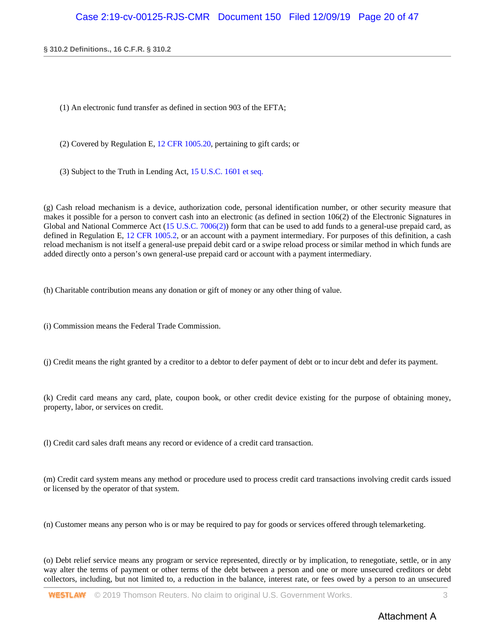(1) An electronic fund transfer as defined in section 903 of the EFTA;

(2) Covered by Regulation E, 12 CFR 1005.20, pertaining to gift cards; or

(3) Subject to the Truth in Lending Act, 15 U.S.C. 1601 et seq.

(g) Cash reload mechanism is a device, authorization code, personal identification number, or other security measure that makes it possible for a person to convert cash into an electronic (as defined in section 106(2) of the Electronic Signatures in Global and National Commerce Act (15 U.S.C. 7006(2)) form that can be used to add funds to a general-use prepaid card, as defined in Regulation E, 12 CFR 1005.2, or an account with a payment intermediary. For purposes of this definition, a cash reload mechanism is not itself a general-use prepaid debit card or a swipe reload process or similar method in which funds are added directly onto a person's own general-use prepaid card or account with a payment intermediary.

(h) Charitable contribution means any donation or gift of money or any other thing of value.

(i) Commission means the Federal Trade Commission.

(j) Credit means the right granted by a creditor to a debtor to defer payment of debt or to incur debt and defer its payment.

(k) Credit card means any card, plate, coupon book, or other credit device existing for the purpose of obtaining money, property, labor, or services on credit.

(l) Credit card sales draft means any record or evidence of a credit card transaction.

(m) Credit card system means any method or procedure used to process credit card transactions involving credit cards issued or licensed by the operator of that system.

(n) Customer means any person who is or may be required to pay for goods or services offered through telemarketing.

(o) Debt relief service means any program or service represented, directly or by implication, to renegotiate, settle, or in any way alter the terms of payment or other terms of the debt between a person and one or more unsecured creditors or debt collectors, including, but not limited to, a reduction in the balance, interest rate, or fees owed by a person to an unsecured

Attachment A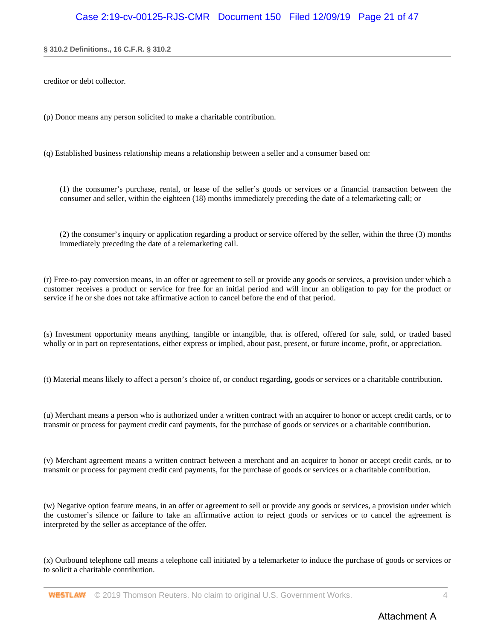creditor or debt collector.

(p) Donor means any person solicited to make a charitable contribution.

(q) Established business relationship means a relationship between a seller and a consumer based on:

(1) the consumer's purchase, rental, or lease of the seller's goods or services or a financial transaction between the consumer and seller, within the eighteen (18) months immediately preceding the date of a telemarketing call; or

(2) the consumer's inquiry or application regarding a product or service offered by the seller, within the three (3) months immediately preceding the date of a telemarketing call.

(r) Free-to-pay conversion means, in an offer or agreement to sell or provide any goods or services, a provision under which a customer receives a product or service for free for an initial period and will incur an obligation to pay for the product or service if he or she does not take affirmative action to cancel before the end of that period.

(s) Investment opportunity means anything, tangible or intangible, that is offered, offered for sale, sold, or traded based wholly or in part on representations, either express or implied, about past, present, or future income, profit, or appreciation.

(t) Material means likely to affect a person's choice of, or conduct regarding, goods or services or a charitable contribution.

(u) Merchant means a person who is authorized under a written contract with an acquirer to honor or accept credit cards, or to transmit or process for payment credit card payments, for the purchase of goods or services or a charitable contribution.

(v) Merchant agreement means a written contract between a merchant and an acquirer to honor or accept credit cards, or to transmit or process for payment credit card payments, for the purchase of goods or services or a charitable contribution.

(w) Negative option feature means, in an offer or agreement to sell or provide any goods or services, a provision under which the customer's silence or failure to take an affirmative action to reject goods or services or to cancel the agreement is interpreted by the seller as acceptance of the offer.

(x) Outbound telephone call means a telephone call initiated by a telemarketer to induce the purchase of goods or services or to solicit a charitable contribution.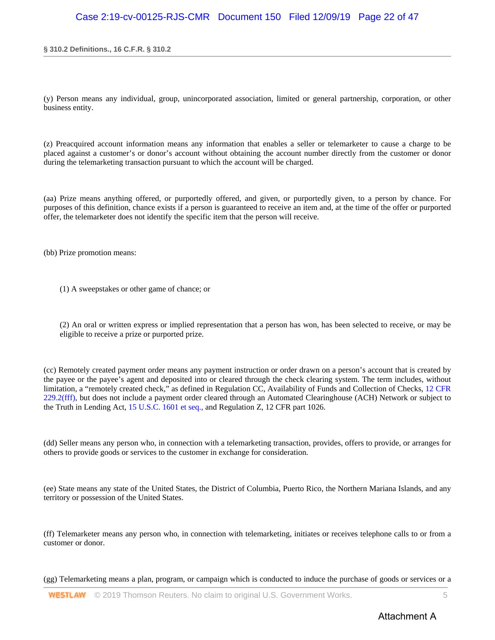(y) Person means any individual, group, unincorporated association, limited or general partnership, corporation, or other business entity.

(z) Preacquired account information means any information that enables a seller or telemarketer to cause a charge to be placed against a customer's or donor's account without obtaining the account number directly from the customer or donor during the telemarketing transaction pursuant to which the account will be charged.

(aa) Prize means anything offered, or purportedly offered, and given, or purportedly given, to a person by chance. For purposes of this definition, chance exists if a person is guaranteed to receive an item and, at the time of the offer or purported offer, the telemarketer does not identify the specific item that the person will receive.

(bb) Prize promotion means:

(1) A sweepstakes or other game of chance; or

(2) An oral or written express or implied representation that a person has won, has been selected to receive, or may be eligible to receive a prize or purported prize.

(cc) Remotely created payment order means any payment instruction or order drawn on a person's account that is created by the payee or the payee's agent and deposited into or cleared through the check clearing system. The term includes, without limitation, a "remotely created check," as defined in Regulation CC, Availability of Funds and Collection of Checks, 12 CFR 229.2(fff), but does not include a payment order cleared through an Automated Clearinghouse (ACH) Network or subject to the Truth in Lending Act, 15 U.S.C. 1601 et seq., and Regulation Z, 12 CFR part 1026.

(dd) Seller means any person who, in connection with a telemarketing transaction, provides, offers to provide, or arranges for others to provide goods or services to the customer in exchange for consideration.

(ee) State means any state of the United States, the District of Columbia, Puerto Rico, the Northern Mariana Islands, and any territory or possession of the United States.

(ff) Telemarketer means any person who, in connection with telemarketing, initiates or receives telephone calls to or from a customer or donor.

(gg) Telemarketing means a plan, program, or campaign which is conducted to induce the purchase of goods or services or a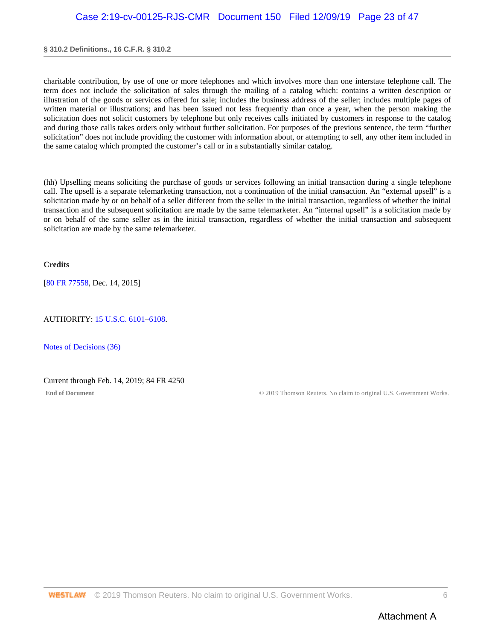charitable contribution, by use of one or more telephones and which involves more than one interstate telephone call. The term does not include the solicitation of sales through the mailing of a catalog which: contains a written description or illustration of the goods or services offered for sale; includes the business address of the seller; includes multiple pages of written material or illustrations; and has been issued not less frequently than once a year, when the person making the solicitation does not solicit customers by telephone but only receives calls initiated by customers in response to the catalog and during those calls takes orders only without further solicitation. For purposes of the previous sentence, the term "further solicitation" does not include providing the customer with information about, or attempting to sell, any other item included in the same catalog which prompted the customer's call or in a substantially similar catalog.

(hh) Upselling means soliciting the purchase of goods or services following an initial transaction during a single telephone call. The upsell is a separate telemarketing transaction, not a continuation of the initial transaction. An "external upsell" is a solicitation made by or on behalf of a seller different from the seller in the initial transaction, regardless of whether the initial transaction and the subsequent solicitation are made by the same telemarketer. An "internal upsell" is a solicitation made by or on behalf of the same seller as in the initial transaction, regardless of whether the initial transaction and subsequent solicitation are made by the same telemarketer.

**Credits** 

[80 FR 77558, Dec. 14, 2015]

AUTHORITY: 15 U.S.C. 6101–6108.

Notes of Decisions (36)

#### Current through Feb. 14, 2019; 84 FR 4250

**End of Document** © 2019 Thomson Reuters. No claim to original U.S. Government Works.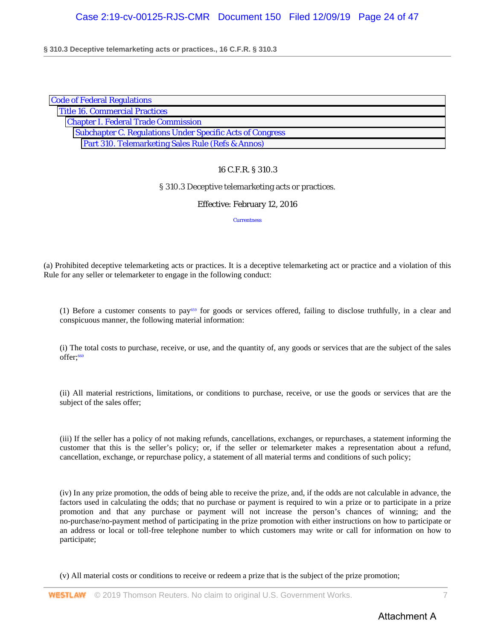| <b>Code of Federal Regulations</b>                               |
|------------------------------------------------------------------|
| <b>Title 16. Commercial Practices</b>                            |
| <b>Chapter I. Federal Trade Commission</b>                       |
| <b>Subchapter C. Regulations Under Specific Acts of Congress</b> |
| Part 310. Telemarketing Sales Rule (Refs & Annos)                |

# 16 C.F.R. § 310.3

#### § 310.3 Deceptive telemarketing acts or practices.

Effective: February 12, 2016

#### **Currentness**

(a) Prohibited deceptive telemarketing acts or practices. It is a deceptive telemarketing act or practice and a violation of this Rule for any seller or telemarketer to engage in the following conduct:

(1) Before a customer consents to pay <sup>659</sup> for goods or services offered, failing to disclose truthfully, in a clear and conspicuous manner, the following material information:

(i) The total costs to purchase, receive, or use, and the quantity of, any goods or services that are the subject of the sales offer:<sup>660</sup>

(ii) All material restrictions, limitations, or conditions to purchase, receive, or use the goods or services that are the subject of the sales offer;

(iii) If the seller has a policy of not making refunds, cancellations, exchanges, or repurchases, a statement informing the customer that this is the seller's policy; or, if the seller or telemarketer makes a representation about a refund, cancellation, exchange, or repurchase policy, a statement of all material terms and conditions of such policy;

(iv) In any prize promotion, the odds of being able to receive the prize, and, if the odds are not calculable in advance, the factors used in calculating the odds; that no purchase or payment is required to win a prize or to participate in a prize promotion and that any purchase or payment will not increase the person's chances of winning; and the no-purchase/no-payment method of participating in the prize promotion with either instructions on how to participate or an address or local or toll-free telephone number to which customers may write or call for information on how to participate;

(v) All material costs or conditions to receive or redeem a prize that is the subject of the prize promotion;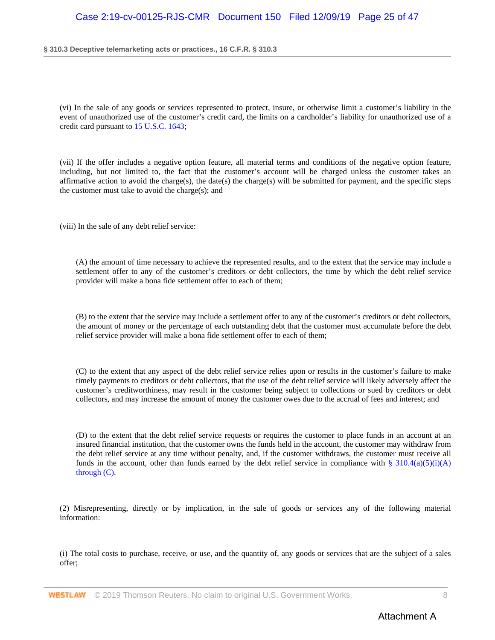(vi) In the sale of any goods or services represented to protect, insure, or otherwise limit a customer's liability in the event of unauthorized use of the customer's credit card, the limits on a cardholder's liability for unauthorized use of a credit card pursuant to 15 U.S.C. 1643;

(vii) If the offer includes a negative option feature, all material terms and conditions of the negative option feature, including, but not limited to, the fact that the customer's account will be charged unless the customer takes an affirmative action to avoid the charge(s), the date(s) the charge(s) will be submitted for payment, and the specific steps the customer must take to avoid the charge(s); and

(viii) In the sale of any debt relief service:

(A) the amount of time necessary to achieve the represented results, and to the extent that the service may include a settlement offer to any of the customer's creditors or debt collectors, the time by which the debt relief service provider will make a bona fide settlement offer to each of them;

(B) to the extent that the service may include a settlement offer to any of the customer's creditors or debt collectors, the amount of money or the percentage of each outstanding debt that the customer must accumulate before the debt relief service provider will make a bona fide settlement offer to each of them;

(C) to the extent that any aspect of the debt relief service relies upon or results in the customer's failure to make timely payments to creditors or debt collectors, that the use of the debt relief service will likely adversely affect the customer's creditworthiness, may result in the customer being subject to collections or sued by creditors or debt collectors, and may increase the amount of money the customer owes due to the accrual of fees and interest; and

(D) to the extent that the debt relief service requests or requires the customer to place funds in an account at an insured financial institution, that the customer owns the funds held in the account, the customer may withdraw from the debt relief service at any time without penalty, and, if the customer withdraws, the customer must receive all funds in the account, other than funds earned by the debt relief service in compliance with §  $310.4(a)(5)(i)(A)$ through (C).

(2) Misrepresenting, directly or by implication, in the sale of goods or services any of the following material information:

(i) The total costs to purchase, receive, or use, and the quantity of, any goods or services that are the subject of a sales offer;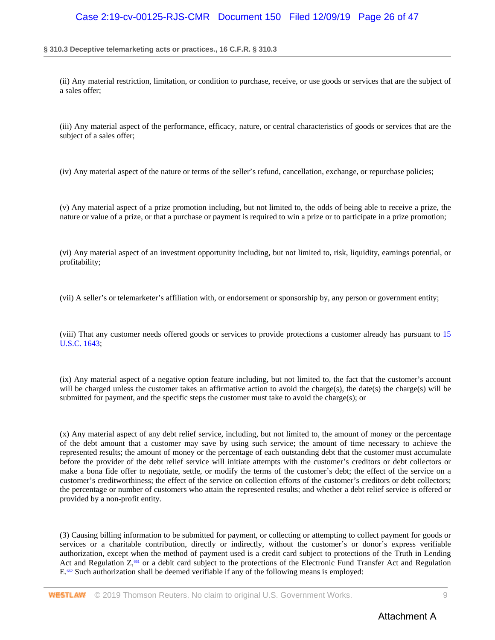(ii) Any material restriction, limitation, or condition to purchase, receive, or use goods or services that are the subject of a sales offer;

(iii) Any material aspect of the performance, efficacy, nature, or central characteristics of goods or services that are the subject of a sales offer;

(iv) Any material aspect of the nature or terms of the seller's refund, cancellation, exchange, or repurchase policies;

(v) Any material aspect of a prize promotion including, but not limited to, the odds of being able to receive a prize, the nature or value of a prize, or that a purchase or payment is required to win a prize or to participate in a prize promotion;

(vi) Any material aspect of an investment opportunity including, but not limited to, risk, liquidity, earnings potential, or profitability;

(vii) A seller's or telemarketer's affiliation with, or endorsement or sponsorship by, any person or government entity;

(viii) That any customer needs offered goods or services to provide protections a customer already has pursuant to 15 U.S.C. 1643;

(ix) Any material aspect of a negative option feature including, but not limited to, the fact that the customer's account will be charged unless the customer takes an affirmative action to avoid the charge(s), the date(s) the charge(s) will be submitted for payment, and the specific steps the customer must take to avoid the charge(s); or

(x) Any material aspect of any debt relief service, including, but not limited to, the amount of money or the percentage of the debt amount that a customer may save by using such service; the amount of time necessary to achieve the represented results; the amount of money or the percentage of each outstanding debt that the customer must accumulate before the provider of the debt relief service will initiate attempts with the customer's creditors or debt collectors or make a bona fide offer to negotiate, settle, or modify the terms of the customer's debt; the effect of the service on a customer's creditworthiness; the effect of the service on collection efforts of the customer's creditors or debt collectors; the percentage or number of customers who attain the represented results; and whether a debt relief service is offered or provided by a non-profit entity.

(3) Causing billing information to be submitted for payment, or collecting or attempting to collect payment for goods or services or a charitable contribution, directly or indirectly, without the customer's or donor's express verifiable authorization, except when the method of payment used is a credit card subject to protections of the Truth in Lending Act and Regulation  $Z<sub>661</sub>$  or a debit card subject to the protections of the Electronic Fund Transfer Act and Regulation E.662 Such authorization shall be deemed verifiable if any of the following means is employed: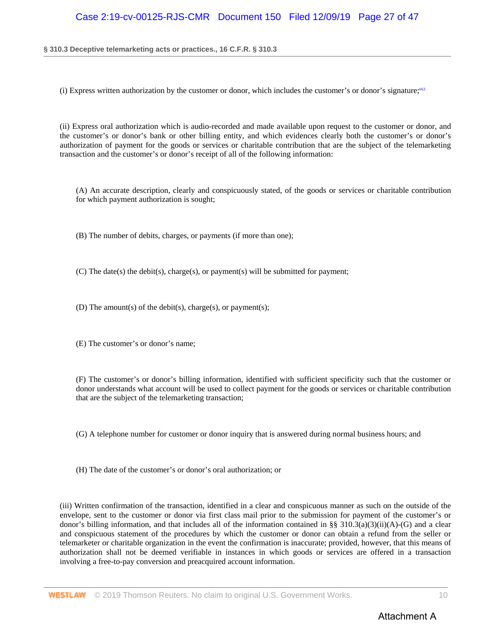(i) Express written authorization by the customer or donor, which includes the customer's or donor's signature; $663$ 

(ii) Express oral authorization which is audio-recorded and made available upon request to the customer or donor, and the customer's or donor's bank or other billing entity, and which evidences clearly both the customer's or donor's authorization of payment for the goods or services or charitable contribution that are the subject of the telemarketing transaction and the customer's or donor's receipt of all of the following information:

(A) An accurate description, clearly and conspicuously stated, of the goods or services or charitable contribution for which payment authorization is sought;

(B) The number of debits, charges, or payments (if more than one);

(C) The date(s) the debit(s), charge(s), or payment(s) will be submitted for payment;

(D) The amount(s) of the debit(s), charge(s), or payment(s);

(E) The customer's or donor's name;

(F) The customer's or donor's billing information, identified with sufficient specificity such that the customer or donor understands what account will be used to collect payment for the goods or services or charitable contribution that are the subject of the telemarketing transaction;

(G) A telephone number for customer or donor inquiry that is answered during normal business hours; and

(H) The date of the customer's or donor's oral authorization; or

(iii) Written confirmation of the transaction, identified in a clear and conspicuous manner as such on the outside of the envelope, sent to the customer or donor via first class mail prior to the submission for payment of the customer's or donor's billing information, and that includes all of the information contained in §§ 310.3(a)(3)(ii)(A)-(G) and a clear and conspicuous statement of the procedures by which the customer or donor can obtain a refund from the seller or telemarketer or charitable organization in the event the confirmation is inaccurate; provided, however, that this means of authorization shall not be deemed verifiable in instances in which goods or services are offered in a transaction involving a free-to-pay conversion and preacquired account information.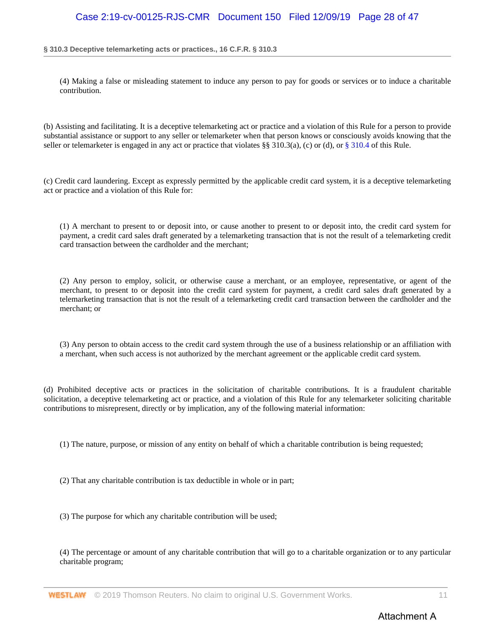(4) Making a false or misleading statement to induce any person to pay for goods or services or to induce a charitable contribution.

(b) Assisting and facilitating. It is a deceptive telemarketing act or practice and a violation of this Rule for a person to provide substantial assistance or support to any seller or telemarketer when that person knows or consciously avoids knowing that the seller or telemarketer is engaged in any act or practice that violates §§ 310.3(a), (c) or (d), or § 310.4 of this Rule.

(c) Credit card laundering. Except as expressly permitted by the applicable credit card system, it is a deceptive telemarketing act or practice and a violation of this Rule for:

(1) A merchant to present to or deposit into, or cause another to present to or deposit into, the credit card system for payment, a credit card sales draft generated by a telemarketing transaction that is not the result of a telemarketing credit card transaction between the cardholder and the merchant;

(2) Any person to employ, solicit, or otherwise cause a merchant, or an employee, representative, or agent of the merchant, to present to or deposit into the credit card system for payment, a credit card sales draft generated by a telemarketing transaction that is not the result of a telemarketing credit card transaction between the cardholder and the merchant; or

(3) Any person to obtain access to the credit card system through the use of a business relationship or an affiliation with a merchant, when such access is not authorized by the merchant agreement or the applicable credit card system.

(d) Prohibited deceptive acts or practices in the solicitation of charitable contributions. It is a fraudulent charitable solicitation, a deceptive telemarketing act or practice, and a violation of this Rule for any telemarketer soliciting charitable contributions to misrepresent, directly or by implication, any of the following material information:

(1) The nature, purpose, or mission of any entity on behalf of which a charitable contribution is being requested;

(2) That any charitable contribution is tax deductible in whole or in part;

(3) The purpose for which any charitable contribution will be used;

(4) The percentage or amount of any charitable contribution that will go to a charitable organization or to any particular charitable program;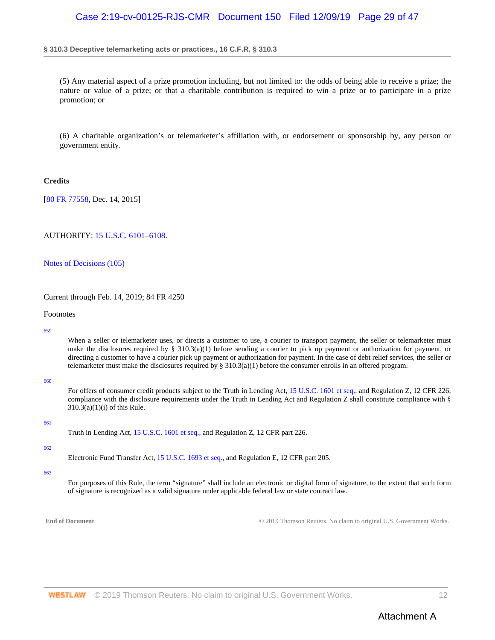(5) Any material aspect of a prize promotion including, but not limited to: the odds of being able to receive a prize; the nature or value of a prize; or that a charitable contribution is required to win a prize or to participate in a prize promotion; or

(6) A charitable organization's or telemarketer's affiliation with, or endorsement or sponsorship by, any person or government entity.

#### **Credits**

[80 FR 77558, Dec. 14, 2015]

#### AUTHORITY: 15 U.S.C. 6101–6108.

#### Notes of Decisions (105)

Current through Feb. 14, 2019; 84 FR 4250

#### Footnotes

659

When a seller or telemarketer uses, or directs a customer to use, a courier to transport payment, the seller or telemarketer must make the disclosures required by § 310.3(a)(1) before sending a courier to pick up payment or authorization for payment, or directing a customer to have a courier pick up payment or authorization for payment. In the case of debt relief services, the seller or telemarketer must make the disclosures required by § 310.3(a)(1) before the consumer enrolls in an offered program.

#### 660

For offers of consumer credit products subject to the Truth in Lending Act, 15 U.S.C. 1601 et seq., and Regulation Z, 12 CFR 226, compliance with the disclosure requirements under the Truth in Lending Act and Regulation Z shall constitute compliance with §  $310.3(a)(1)(i)$  of this Rule.

#### 661

Truth in Lending Act, 15 U.S.C. 1601 et seq., and Regulation Z, 12 CFR part 226.

#### 662

Electronic Fund Transfer Act, 15 U.S.C. 1693 et seq., and Regulation E, 12 CFR part 205.

#### 663

For purposes of this Rule, the term "signature" shall include an electronic or digital form of signature, to the extent that such form of signature is recognized as a valid signature under applicable federal law or state contract law.

**End of Document** © 2019 Thomson Reuters. No claim to original U.S. Government Works.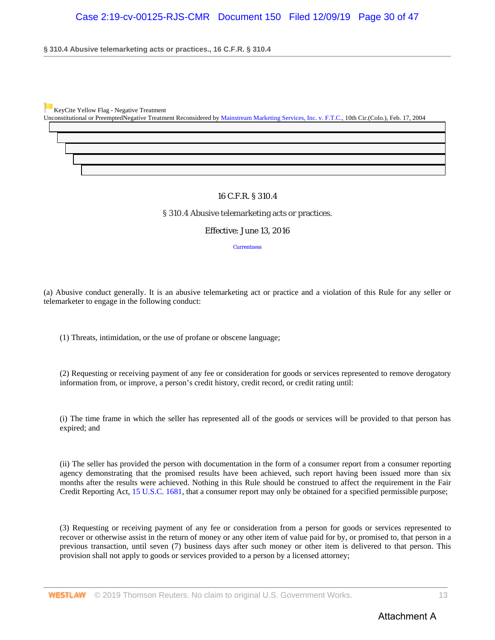KeyCite Yellow Flag - Negative Treatment Unconstitutional or PreemptedNegative Treatment Reconsidered by Mainstream Marketing Services, Inc. v. F.T.C., 10th Cir.(Colo.), Feb. 17, 2004 I Title 16. Commercial Practices I Chapter I. Federal Trade Commission I Subchapter C. Regulations Under Specific Acts of Congress I Part 310. Telemarketing Sales Rule (Refs & Annos)

# 16 C.F.R. § 310.4

§ 310.4 Abusive telemarketing acts or practices.

Effective: June 13, 2016

**Currentness** 

(a) Abusive conduct generally. It is an abusive telemarketing act or practice and a violation of this Rule for any seller or telemarketer to engage in the following conduct:

(1) Threats, intimidation, or the use of profane or obscene language;

(2) Requesting or receiving payment of any fee or consideration for goods or services represented to remove derogatory information from, or improve, a person's credit history, credit record, or credit rating until:

(i) The time frame in which the seller has represented all of the goods or services will be provided to that person has expired; and

(ii) The seller has provided the person with documentation in the form of a consumer report from a consumer reporting agency demonstrating that the promised results have been achieved, such report having been issued more than six months after the results were achieved. Nothing in this Rule should be construed to affect the requirement in the Fair Credit Reporting Act, 15 U.S.C. 1681, that a consumer report may only be obtained for a specified permissible purpose;

(3) Requesting or receiving payment of any fee or consideration from a person for goods or services represented to recover or otherwise assist in the return of money or any other item of value paid for by, or promised to, that person in a previous transaction, until seven (7) business days after such money or other item is delivered to that person. This provision shall not apply to goods or services provided to a person by a licensed attorney;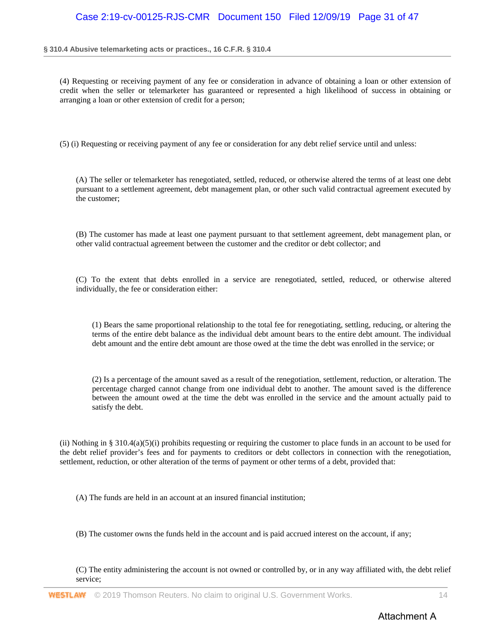(4) Requesting or receiving payment of any fee or consideration in advance of obtaining a loan or other extension of credit when the seller or telemarketer has guaranteed or represented a high likelihood of success in obtaining or arranging a loan or other extension of credit for a person;

(5) (i) Requesting or receiving payment of any fee or consideration for any debt relief service until and unless:

(A) The seller or telemarketer has renegotiated, settled, reduced, or otherwise altered the terms of at least one debt pursuant to a settlement agreement, debt management plan, or other such valid contractual agreement executed by the customer;

(B) The customer has made at least one payment pursuant to that settlement agreement, debt management plan, or other valid contractual agreement between the customer and the creditor or debt collector; and

(C) To the extent that debts enrolled in a service are renegotiated, settled, reduced, or otherwise altered individually, the fee or consideration either:

(1) Bears the same proportional relationship to the total fee for renegotiating, settling, reducing, or altering the terms of the entire debt balance as the individual debt amount bears to the entire debt amount. The individual debt amount and the entire debt amount are those owed at the time the debt was enrolled in the service; or

(2) Is a percentage of the amount saved as a result of the renegotiation, settlement, reduction, or alteration. The percentage charged cannot change from one individual debt to another. The amount saved is the difference between the amount owed at the time the debt was enrolled in the service and the amount actually paid to satisfy the debt.

(ii) Nothing in § 310.4(a)(5)(i) prohibits requesting or requiring the customer to place funds in an account to be used for the debt relief provider's fees and for payments to creditors or debt collectors in connection with the renegotiation, settlement, reduction, or other alteration of the terms of payment or other terms of a debt, provided that:

(A) The funds are held in an account at an insured financial institution;

(B) The customer owns the funds held in the account and is paid accrued interest on the account, if any;

(C) The entity administering the account is not owned or controlled by, or in any way affiliated with, the debt relief service;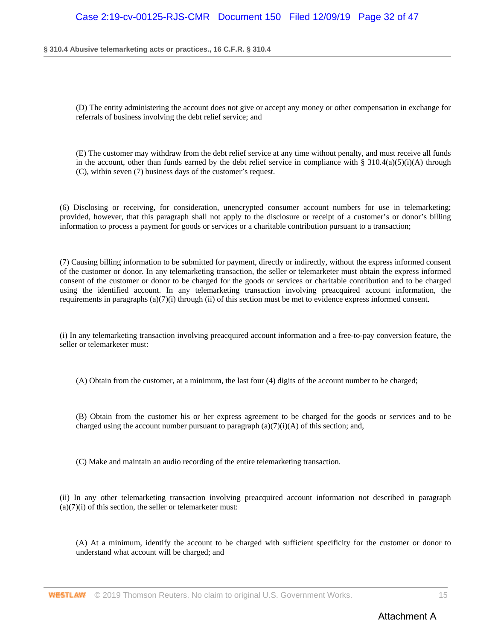(D) The entity administering the account does not give or accept any money or other compensation in exchange for referrals of business involving the debt relief service; and

(E) The customer may withdraw from the debt relief service at any time without penalty, and must receive all funds in the account, other than funds earned by the debt relief service in compliance with  $\S 310.4(a)(5)(i)(A)$  through (C), within seven (7) business days of the customer's request.

(6) Disclosing or receiving, for consideration, unencrypted consumer account numbers for use in telemarketing; provided, however, that this paragraph shall not apply to the disclosure or receipt of a customer's or donor's billing information to process a payment for goods or services or a charitable contribution pursuant to a transaction;

(7) Causing billing information to be submitted for payment, directly or indirectly, without the express informed consent of the customer or donor. In any telemarketing transaction, the seller or telemarketer must obtain the express informed consent of the customer or donor to be charged for the goods or services or charitable contribution and to be charged using the identified account. In any telemarketing transaction involving preacquired account information, the requirements in paragraphs  $(a)(7)(i)$  through (ii) of this section must be met to evidence express informed consent.

(i) In any telemarketing transaction involving preacquired account information and a free-to-pay conversion feature, the seller or telemarketer must:

(A) Obtain from the customer, at a minimum, the last four (4) digits of the account number to be charged;

(B) Obtain from the customer his or her express agreement to be charged for the goods or services and to be charged using the account number pursuant to paragraph  $(a)(7)(i)(A)$  of this section; and,

(C) Make and maintain an audio recording of the entire telemarketing transaction.

(ii) In any other telemarketing transaction involving preacquired account information not described in paragraph (a)(7)(i) of this section, the seller or telemarketer must:

(A) At a minimum, identify the account to be charged with sufficient specificity for the customer or donor to understand what account will be charged; and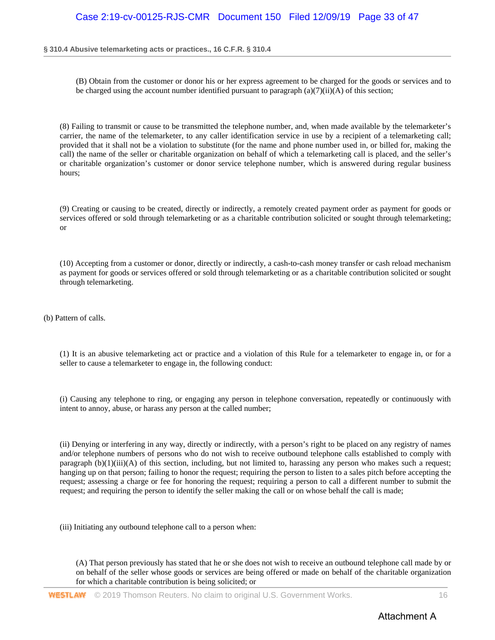(B) Obtain from the customer or donor his or her express agreement to be charged for the goods or services and to be charged using the account number identified pursuant to paragraph  $(a)(7)(ii)(A)$  of this section;

(8) Failing to transmit or cause to be transmitted the telephone number, and, when made available by the telemarketer's carrier, the name of the telemarketer, to any caller identification service in use by a recipient of a telemarketing call; provided that it shall not be a violation to substitute (for the name and phone number used in, or billed for, making the call) the name of the seller or charitable organization on behalf of which a telemarketing call is placed, and the seller's or charitable organization's customer or donor service telephone number, which is answered during regular business hours;

(9) Creating or causing to be created, directly or indirectly, a remotely created payment order as payment for goods or services offered or sold through telemarketing or as a charitable contribution solicited or sought through telemarketing; or

(10) Accepting from a customer or donor, directly or indirectly, a cash-to-cash money transfer or cash reload mechanism as payment for goods or services offered or sold through telemarketing or as a charitable contribution solicited or sought through telemarketing.

(b) Pattern of calls.

(1) It is an abusive telemarketing act or practice and a violation of this Rule for a telemarketer to engage in, or for a seller to cause a telemarketer to engage in, the following conduct:

(i) Causing any telephone to ring, or engaging any person in telephone conversation, repeatedly or continuously with intent to annoy, abuse, or harass any person at the called number;

(ii) Denying or interfering in any way, directly or indirectly, with a person's right to be placed on any registry of names and/or telephone numbers of persons who do not wish to receive outbound telephone calls established to comply with paragraph (b)(1)(iii)(A) of this section, including, but not limited to, harassing any person who makes such a request; hanging up on that person; failing to honor the request; requiring the person to listen to a sales pitch before accepting the request; assessing a charge or fee for honoring the request; requiring a person to call a different number to submit the request; and requiring the person to identify the seller making the call or on whose behalf the call is made;

(iii) Initiating any outbound telephone call to a person when:

(A) That person previously has stated that he or she does not wish to receive an outbound telephone call made by or on behalf of the seller whose goods or services are being offered or made on behalf of the charitable organization for which a charitable contribution is being solicited; or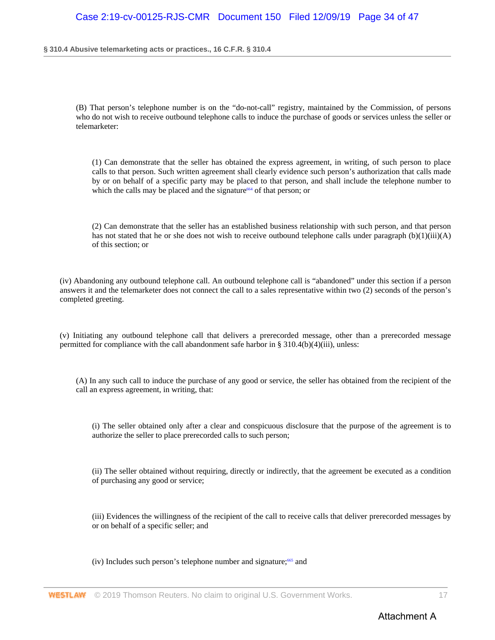(B) That person's telephone number is on the "do-not-call" registry, maintained by the Commission, of persons who do not wish to receive outbound telephone calls to induce the purchase of goods or services unless the seller or telemarketer:

(1) Can demonstrate that the seller has obtained the express agreement, in writing, of such person to place calls to that person. Such written agreement shall clearly evidence such person's authorization that calls made by or on behalf of a specific party may be placed to that person, and shall include the telephone number to which the calls may be placed and the signature<sup>664</sup> of that person; or

(2) Can demonstrate that the seller has an established business relationship with such person, and that person has not stated that he or she does not wish to receive outbound telephone calls under paragraph  $(b)(1)(iii)(A)$ of this section; or

(iv) Abandoning any outbound telephone call. An outbound telephone call is "abandoned" under this section if a person answers it and the telemarketer does not connect the call to a sales representative within two (2) seconds of the person's completed greeting.

(v) Initiating any outbound telephone call that delivers a prerecorded message, other than a prerecorded message permitted for compliance with the call abandonment safe harbor in § 310.4(b)(4)(iii), unless:

(A) In any such call to induce the purchase of any good or service, the seller has obtained from the recipient of the call an express agreement, in writing, that:

(i) The seller obtained only after a clear and conspicuous disclosure that the purpose of the agreement is to authorize the seller to place prerecorded calls to such person;

(ii) The seller obtained without requiring, directly or indirectly, that the agreement be executed as a condition of purchasing any good or service;

(iii) Evidences the willingness of the recipient of the call to receive calls that deliver prerecorded messages by or on behalf of a specific seller; and

(iv) Includes such person's telephone number and signature;<sup>665</sup> and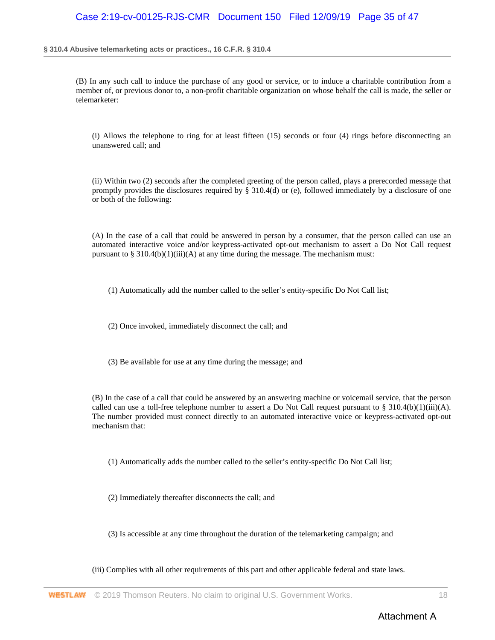(B) In any such call to induce the purchase of any good or service, or to induce a charitable contribution from a member of, or previous donor to, a non-profit charitable organization on whose behalf the call is made, the seller or telemarketer:

(i) Allows the telephone to ring for at least fifteen (15) seconds or four (4) rings before disconnecting an unanswered call; and

(ii) Within two (2) seconds after the completed greeting of the person called, plays a prerecorded message that promptly provides the disclosures required by  $\S 310.4(d)$  or (e), followed immediately by a disclosure of one or both of the following:

(A) In the case of a call that could be answered in person by a consumer, that the person called can use an automated interactive voice and/or keypress-activated opt-out mechanism to assert a Do Not Call request pursuant to  $\S 310.4(b)(1)(iii)(A)$  at any time during the message. The mechanism must:

(1) Automatically add the number called to the seller's entity-specific Do Not Call list;

(2) Once invoked, immediately disconnect the call; and

(3) Be available for use at any time during the message; and

(B) In the case of a call that could be answered by an answering machine or voicemail service, that the person called can use a toll-free telephone number to assert a Do Not Call request pursuant to § 310.4(b)(1)(iii)(A). The number provided must connect directly to an automated interactive voice or keypress-activated opt-out mechanism that:

(1) Automatically adds the number called to the seller's entity-specific Do Not Call list;

(2) Immediately thereafter disconnects the call; and

(3) Is accessible at any time throughout the duration of the telemarketing campaign; and

(iii) Complies with all other requirements of this part and other applicable federal and state laws.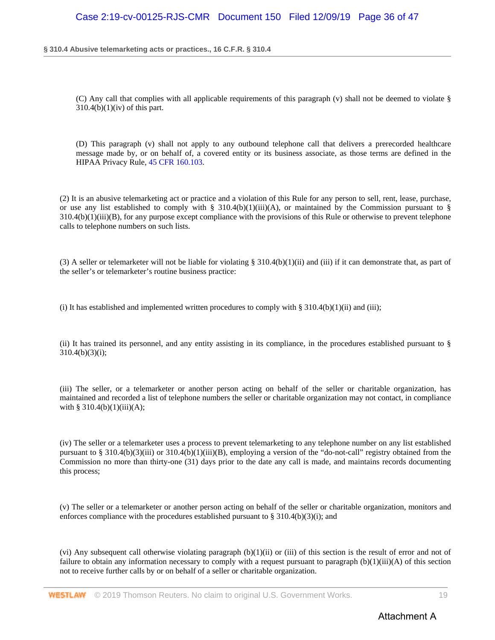(C) Any call that complies with all applicable requirements of this paragraph (v) shall not be deemed to violate  $\S$  $310.4(b)(1)(iv)$  of this part.

(D) This paragraph (v) shall not apply to any outbound telephone call that delivers a prerecorded healthcare message made by, or on behalf of, a covered entity or its business associate, as those terms are defined in the HIPAA Privacy Rule, 45 CFR 160.103.

(2) It is an abusive telemarketing act or practice and a violation of this Rule for any person to sell, rent, lease, purchase, or use any list established to comply with § 310.4(b)(1)(iii)(A), or maintained by the Commission pursuant to § 310.4(b)(1)(iii)(B), for any purpose except compliance with the provisions of this Rule or otherwise to prevent telephone calls to telephone numbers on such lists.

(3) A seller or telemarketer will not be liable for violating § 310.4(b)(1)(ii) and (iii) if it can demonstrate that, as part of the seller's or telemarketer's routine business practice:

(i) It has established and implemented written procedures to comply with  $\S 310.4(b)(1)(ii)$  and (iii);

(ii) It has trained its personnel, and any entity assisting in its compliance, in the procedures established pursuant to  $\S$ 310.4(b)(3)(i);

(iii) The seller, or a telemarketer or another person acting on behalf of the seller or charitable organization, has maintained and recorded a list of telephone numbers the seller or charitable organization may not contact, in compliance with § 310.4(b)(1)(iii)(A);

(iv) The seller or a telemarketer uses a process to prevent telemarketing to any telephone number on any list established pursuant to § 310.4(b)(3)(iii) or 310.4(b)(1)(iii)(B), employing a version of the "do-not-call" registry obtained from the Commission no more than thirty-one (31) days prior to the date any call is made, and maintains records documenting this process;

(v) The seller or a telemarketer or another person acting on behalf of the seller or charitable organization, monitors and enforces compliance with the procedures established pursuant to § 310.4(b)(3)(i); and

(vi) Any subsequent call otherwise violating paragraph  $(b)(1)(ii)$  or (iii) of this section is the result of error and not of failure to obtain any information necessary to comply with a request pursuant to paragraph  $(b)(1)(iii)(A)$  of this section not to receive further calls by or on behalf of a seller or charitable organization.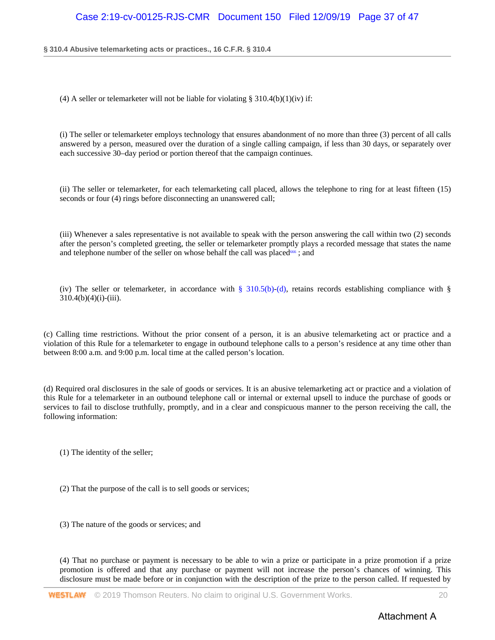(4) A seller or telemarketer will not be liable for violating  $\S 310.4(b)(1)(iv)$  if:

(i) The seller or telemarketer employs technology that ensures abandonment of no more than three (3) percent of all calls answered by a person, measured over the duration of a single calling campaign, if less than 30 days, or separately over each successive 30–day period or portion thereof that the campaign continues.

(ii) The seller or telemarketer, for each telemarketing call placed, allows the telephone to ring for at least fifteen (15) seconds or four (4) rings before disconnecting an unanswered call;

(iii) Whenever a sales representative is not available to speak with the person answering the call within two (2) seconds after the person's completed greeting, the seller or telemarketer promptly plays a recorded message that states the name and telephone number of the seller on whose behalf the call was placed<sup>666</sup>; and

(iv) The seller or telemarketer, in accordance with § 310.5(b)-(d), retains records establishing compliance with §  $310.4(b)(4)(i)$ -(iii).

(c) Calling time restrictions. Without the prior consent of a person, it is an abusive telemarketing act or practice and a violation of this Rule for a telemarketer to engage in outbound telephone calls to a person's residence at any time other than between 8:00 a.m. and 9:00 p.m. local time at the called person's location.

(d) Required oral disclosures in the sale of goods or services. It is an abusive telemarketing act or practice and a violation of this Rule for a telemarketer in an outbound telephone call or internal or external upsell to induce the purchase of goods or services to fail to disclose truthfully, promptly, and in a clear and conspicuous manner to the person receiving the call, the following information:

- (1) The identity of the seller;
- (2) That the purpose of the call is to sell goods or services;
- (3) The nature of the goods or services; and

(4) That no purchase or payment is necessary to be able to win a prize or participate in a prize promotion if a prize promotion is offered and that any purchase or payment will not increase the person's chances of winning. This disclosure must be made before or in conjunction with the description of the prize to the person called. If requested by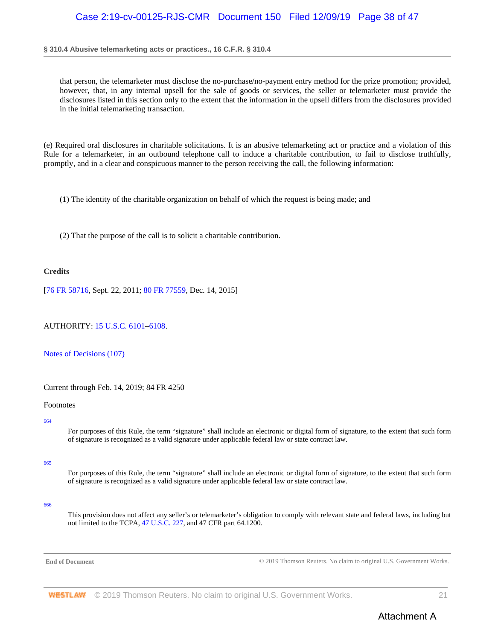that person, the telemarketer must disclose the no-purchase/no-payment entry method for the prize promotion; provided, however, that, in any internal upsell for the sale of goods or services, the seller or telemarketer must provide the disclosures listed in this section only to the extent that the information in the upsell differs from the disclosures provided in the initial telemarketing transaction.

(e) Required oral disclosures in charitable solicitations. It is an abusive telemarketing act or practice and a violation of this Rule for a telemarketer, in an outbound telephone call to induce a charitable contribution, to fail to disclose truthfully, promptly, and in a clear and conspicuous manner to the person receiving the call, the following information:

(1) The identity of the charitable organization on behalf of which the request is being made; and

(2) That the purpose of the call is to solicit a charitable contribution.

#### **Credits**

[76 FR 58716, Sept. 22, 2011; 80 FR 77559, Dec. 14, 2015]

AUTHORITY: 15 U.S.C. 6101–6108.

#### Notes of Decisions (107)

Current through Feb. 14, 2019; 84 FR 4250

#### Footnotes

#### 664

For purposes of this Rule, the term "signature" shall include an electronic or digital form of signature, to the extent that such form of signature is recognized as a valid signature under applicable federal law or state contract law.

#### 665

For purposes of this Rule, the term "signature" shall include an electronic or digital form of signature, to the extent that such form of signature is recognized as a valid signature under applicable federal law or state contract law.

#### 666

This provision does not affect any seller's or telemarketer's obligation to comply with relevant state and federal laws, including but not limited to the TCPA, 47 U.S.C. 227, and 47 CFR part 64.1200.

**End of Document** © 2019 Thomson Reuters. No claim to original U.S. Government Works.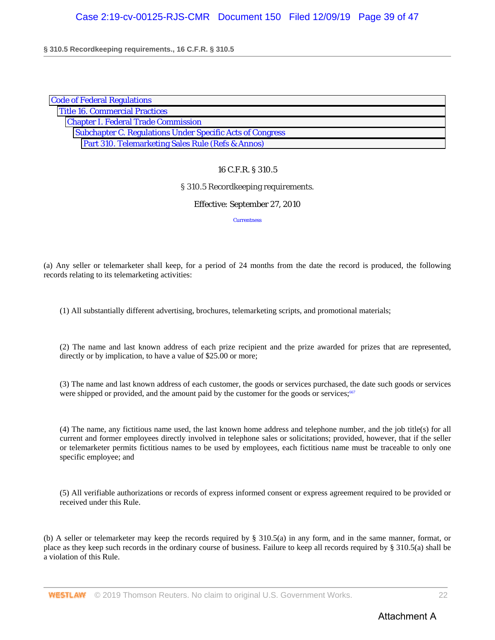**§ 310.5 Recordkeeping requirements., 16 C.F.R. § 310.5** 

| <b>Code of Federal Regulations</b>                               |
|------------------------------------------------------------------|
| <b>Title 16. Commercial Practices</b>                            |
| <b>Chapter I. Federal Trade Commission</b>                       |
| <b>Subchapter C. Regulations Under Specific Acts of Congress</b> |
| Part 310. Telemarketing Sales Rule (Refs & Annos)                |

# 16 C.F.R. § 310.5

#### § 310.5 Recordkeeping requirements.

# Effective: September 27, 2010

#### **Currentness**

(a) Any seller or telemarketer shall keep, for a period of 24 months from the date the record is produced, the following records relating to its telemarketing activities:

(1) All substantially different advertising, brochures, telemarketing scripts, and promotional materials;

(2) The name and last known address of each prize recipient and the prize awarded for prizes that are represented, directly or by implication, to have a value of \$25.00 or more;

(3) The name and last known address of each customer, the goods or services purchased, the date such goods or services were shipped or provided, and the amount paid by the customer for the goods or services; $667$ 

(4) The name, any fictitious name used, the last known home address and telephone number, and the job title(s) for all current and former employees directly involved in telephone sales or solicitations; provided, however, that if the seller or telemarketer permits fictitious names to be used by employees, each fictitious name must be traceable to only one specific employee; and

(5) All verifiable authorizations or records of express informed consent or express agreement required to be provided or received under this Rule.

(b) A seller or telemarketer may keep the records required by § 310.5(a) in any form, and in the same manner, format, or place as they keep such records in the ordinary course of business. Failure to keep all records required by § 310.5(a) shall be a violation of this Rule.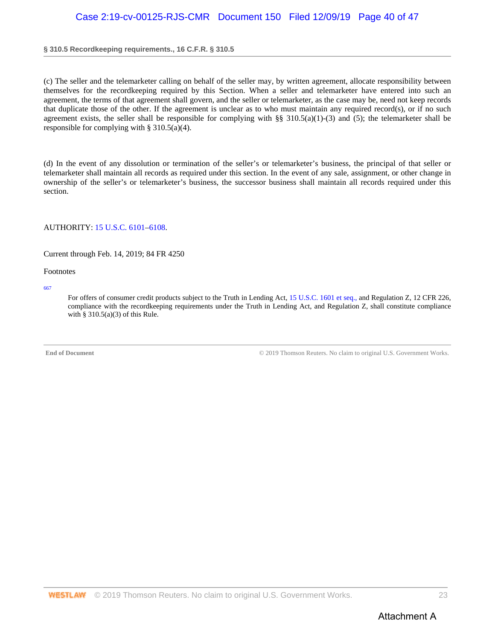#### **§ 310.5 Recordkeeping requirements., 16 C.F.R. § 310.5**

(c) The seller and the telemarketer calling on behalf of the seller may, by written agreement, allocate responsibility between themselves for the recordkeeping required by this Section. When a seller and telemarketer have entered into such an agreement, the terms of that agreement shall govern, and the seller or telemarketer, as the case may be, need not keep records that duplicate those of the other. If the agreement is unclear as to who must maintain any required record(s), or if no such agreement exists, the seller shall be responsible for complying with  $\S$  310.5(a)(1)-(3) and (5); the telemarketer shall be responsible for complying with § 310.5(a)(4).

(d) In the event of any dissolution or termination of the seller's or telemarketer's business, the principal of that seller or telemarketer shall maintain all records as required under this section. In the event of any sale, assignment, or other change in ownership of the seller's or telemarketer's business, the successor business shall maintain all records required under this section.

AUTHORITY: 15 U.S.C. 6101–6108.

Current through Feb. 14, 2019; 84 FR 4250

Footnotes

667

For offers of consumer credit products subject to the Truth in Lending Act, 15 U.S.C. 1601 et seq., and Regulation Z, 12 CFR 226, compliance with the recordkeeping requirements under the Truth in Lending Act, and Regulation Z, shall constitute compliance with  $§$  310.5(a)(3) of this Rule.

**End of Document Theorem 2019 Thomson Reuters. No claim to original U.S. Government Works.**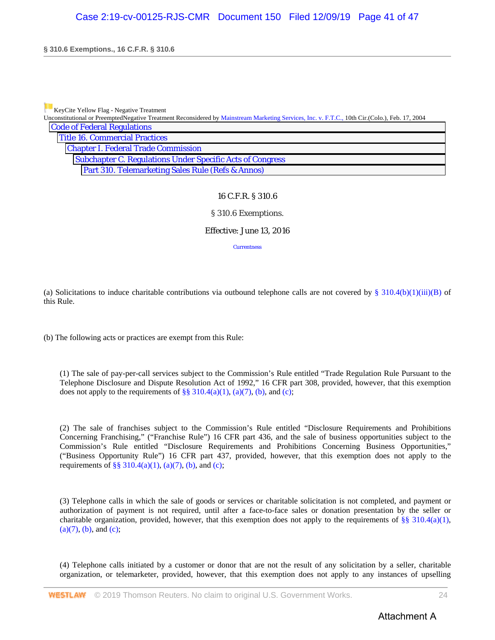**§ 310.6 Exemptions., 16 C.F.R. § 310.6** 

KeyCite Yellow Flag - Negative Treatment

Unconstitutional or PreemptedNegative Treatment Reconsidered by Mainstream Marketing Services, Inc. v. F.T.C., 10th Cir.(Colo.), Feb. 17, 2004 Code of Federal Regulations

**Title 16. Commercial Practices** 

**Chapter I. Federal Trade Commission** 

S<sub>2</sub> Part 310. Telemarketing Sales Rule (Refs & Annos) Subchapter C. Regulations Under Specific Acts of Congress

16 C.F.R. § 310.6

§ 310.6 Exemptions.

Effective: June 13, 2016

**Currentness** 

(a) Solicitations to induce charitable contributions via outbound telephone calls are not covered by  $\S 310.4(b)(1)(iii)(B)$  of this Rule.

(b) The following acts or practices are exempt from this Rule:

(1) The sale of pay-per-call services subject to the Commission's Rule entitled "Trade Regulation Rule Pursuant to the Telephone Disclosure and Dispute Resolution Act of 1992," 16 CFR part 308, provided, however, that this exemption does not apply to the requirements of  $\S$ § 310.4(a)(1), (a)(7), (b), and (c);

(2) The sale of franchises subject to the Commission's Rule entitled "Disclosure Requirements and Prohibitions Concerning Franchising," ("Franchise Rule") 16 CFR part 436, and the sale of business opportunities subject to the Commission's Rule entitled "Disclosure Requirements and Prohibitions Concerning Business Opportunities," ("Business Opportunity Rule") 16 CFR part 437, provided, however, that this exemption does not apply to the requirements of §§ 310.4(a)(1), (a)(7), (b), and (c);

(3) Telephone calls in which the sale of goods or services or charitable solicitation is not completed, and payment or authorization of payment is not required, until after a face-to-face sales or donation presentation by the seller or charitable organization, provided, however, that this exemption does not apply to the requirements of §§ 310.4(a)(1),  $(a)(7)$ ,  $(b)$ , and  $(c)$ ;

(4) Telephone calls initiated by a customer or donor that are not the result of any solicitation by a seller, charitable organization, or telemarketer, provided, however, that this exemption does not apply to any instances of upselling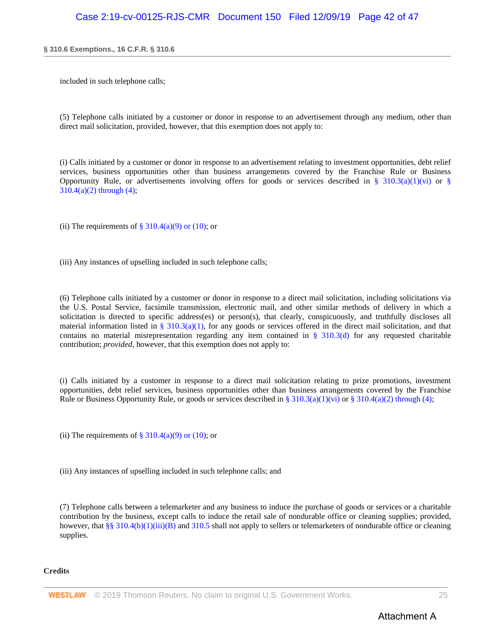**§ 310.6 Exemptions., 16 C.F.R. § 310.6** 

included in such telephone calls;

(5) Telephone calls initiated by a customer or donor in response to an advertisement through any medium, other than direct mail solicitation, provided, however, that this exemption does not apply to:

(i) Calls initiated by a customer or donor in response to an advertisement relating to investment opportunities, debt relief services, business opportunities other than business arrangements covered by the Franchise Rule or Business Opportunity Rule, or advertisements involving offers for goods or services described in § 310.3(a)(1)(vi) or §  $310.4(a)(2)$  through  $(4)$ ;

(ii) The requirements of  $\S$  310.4(a)(9) or (10); or

(iii) Any instances of upselling included in such telephone calls;

(6) Telephone calls initiated by a customer or donor in response to a direct mail solicitation, including solicitations via the U.S. Postal Service, facsimile transmission, electronic mail, and other similar methods of delivery in which a solicitation is directed to specific address(es) or person(s), that clearly, conspicuously, and truthfully discloses all material information listed in §  $310.3(a)(1)$ , for any goods or services offered in the direct mail solicitation, and that contains no material misrepresentation regarding any item contained in § 310.3(d) for any requested charitable contribution; *provided*, however, that this exemption does not apply to:

(i) Calls initiated by a customer in response to a direct mail solicitation relating to prize promotions, investment opportunities, debt relief services, business opportunities other than business arrangements covered by the Franchise Rule or Business Opportunity Rule, or goods or services described in §  $310.3(a)(1)(vi)$  or §  $310.4(a)(2)$  through (4);

(ii) The requirements of  $\S$  310.4(a)(9) or (10); or

(iii) Any instances of upselling included in such telephone calls; and

(7) Telephone calls between a telemarketer and any business to induce the purchase of goods or services or a charitable contribution by the business, except calls to induce the retail sale of nondurable office or cleaning supplies; provided, however, that §§ 310.4(b)(1)(iii)(B) and 310.5 shall not apply to sellers or telemarketers of nondurable office or cleaning supplies.

#### **Credits**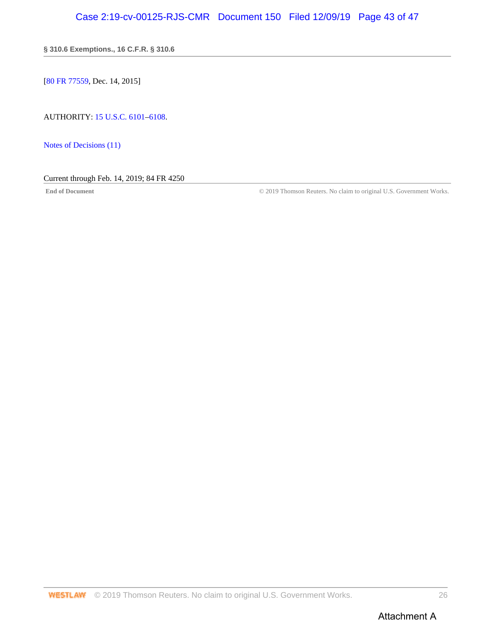**§ 310.6 Exemptions., 16 C.F.R. § 310.6** 

[80 FR 77559, Dec. 14, 2015]

AUTHORITY: 15 U.S.C. 6101–6108.

Notes of Decisions (11)

Current through Feb. 14, 2019; 84 FR 4250

**End of Document** © 2019 Thomson Reuters. No claim to original U.S. Government Works.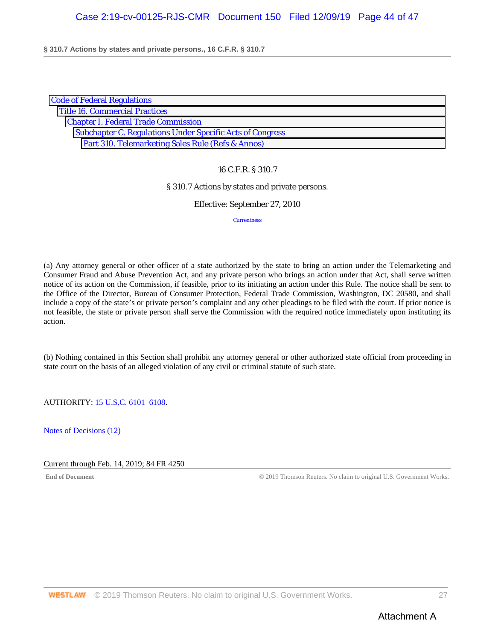**§ 310.7 Actions by states and private persons., 16 C.F.R. § 310.7** 

| <b>Code of Federal Regulations</b>                               |
|------------------------------------------------------------------|
| <b>Title 16. Commercial Practices</b>                            |
| <b>Chapter I. Federal Trade Commission</b>                       |
| <b>Subchapter C. Regulations Under Specific Acts of Congress</b> |
| Part 310. Telemarketing Sales Rule (Refs & Annos)                |

# 16 C.F.R. § 310.7

#### § 310.7 Actions by states and private persons.

Effective: September 27, 2010

**Currentness** 

(a) Any attorney general or other officer of a state authorized by the state to bring an action under the Telemarketing and Consumer Fraud and Abuse Prevention Act, and any private person who brings an action under that Act, shall serve written notice of its action on the Commission, if feasible, prior to its initiating an action under this Rule. The notice shall be sent to the Office of the Director, Bureau of Consumer Protection, Federal Trade Commission, Washington, DC 20580, and shall include a copy of the state's or private person's complaint and any other pleadings to be filed with the court. If prior notice is not feasible, the state or private person shall serve the Commission with the required notice immediately upon instituting its action.

(b) Nothing contained in this Section shall prohibit any attorney general or other authorized state official from proceeding in state court on the basis of an alleged violation of any civil or criminal statute of such state.

AUTHORITY: 15 U.S.C. 6101–6108.

Notes of Decisions (12)

Current through Feb. 14, 2019; 84 FR 4250

**End of Document** © 2019 Thomson Reuters. No claim to original U.S. Government Works.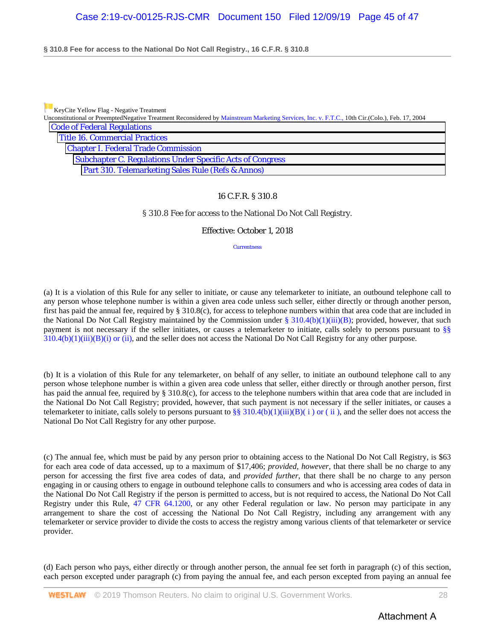**§ 310.8 Fee for access to the National Do Not Call Registry., 16 C.F.R. § 310.8** 

| KeyCite Yellow Flag - Negative Treatment                                                                                                       |
|------------------------------------------------------------------------------------------------------------------------------------------------|
| Unconstitutional or PreemptedNegative Treatment Reconsidered by Mainstream Marketing Services, Inc. v. F.T.C., 10th Cir.(Colo.), Feb. 17, 2004 |
| <b>Code of Federal Regulations</b>                                                                                                             |
| <b>Title 16. Commercial Practices</b>                                                                                                          |
| <b>Chapter I. Federal Trade Commission</b>                                                                                                     |
| <b>Subchapter C. Regulations Under Specific Acts of Congress</b>                                                                               |
| <b>Part 310. Telemarketing Sales Rule (Refs &amp; Annos)</b>                                                                                   |

# 16 C.F.R. § 310.8

§ 310.8 Fee for access to the National Do Not Call Registry.

Effective: October 1, 2018

**Currentness** 

(a) It is a violation of this Rule for any seller to initiate, or cause any telemarketer to initiate, an outbound telephone call to any person whose telephone number is within a given area code unless such seller, either directly or through another person, first has paid the annual fee, required by § 310.8(c), for access to telephone numbers within that area code that are included in the National Do Not Call Registry maintained by the Commission under  $\S 310.4(b)(1)(iii)(B)$ ; provided, however, that such payment is not necessary if the seller initiates, or causes a telemarketer to initiate, calls solely to persons pursuant to §§  $310.4(b)(1)(iii)(B)(i)$  or (ii), and the seller does not access the National Do Not Call Registry for any other purpose.

(b) It is a violation of this Rule for any telemarketer, on behalf of any seller, to initiate an outbound telephone call to any person whose telephone number is within a given area code unless that seller, either directly or through another person, first has paid the annual fee, required by § 310.8(c), for access to the telephone numbers within that area code that are included in the National Do Not Call Registry; provided, however, that such payment is not necessary if the seller initiates, or causes a telemarketer to initiate, calls solely to persons pursuant to  $\S$ § 310.4(b)(1)(iii)(B)(i) or (ii), and the seller does not access the National Do Not Call Registry for any other purpose.

(c) The annual fee, which must be paid by any person prior to obtaining access to the National Do Not Call Registry, is \$63 for each area code of data accessed, up to a maximum of \$17,406; *provided, however*, that there shall be no charge to any person for accessing the first five area codes of data, and *provided further*, that there shall be no charge to any person engaging in or causing others to engage in outbound telephone calls to consumers and who is accessing area codes of data in the National Do Not Call Registry if the person is permitted to access, but is not required to access, the National Do Not Call Registry under this Rule, 47 CFR 64.1200, or any other Federal regulation or law. No person may participate in any arrangement to share the cost of accessing the National Do Not Call Registry, including any arrangement with any telemarketer or service provider to divide the costs to access the registry among various clients of that telemarketer or service provider.

(d) Each person who pays, either directly or through another person, the annual fee set forth in paragraph (c) of this section, each person excepted under paragraph (c) from paying the annual fee, and each person excepted from paying an annual fee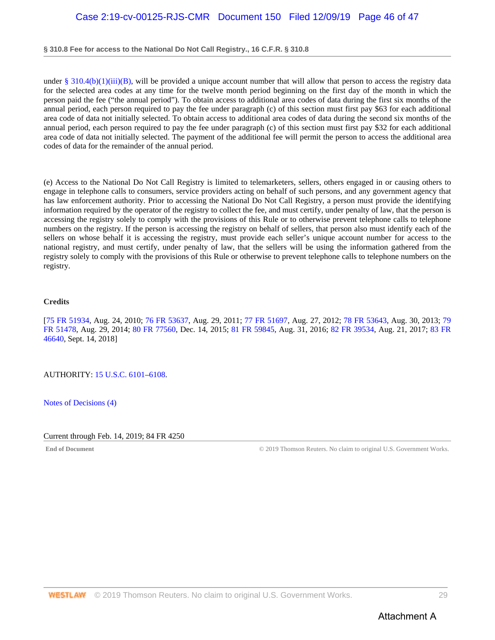**§ 310.8 Fee for access to the National Do Not Call Registry., 16 C.F.R. § 310.8** 

under § 310.4(b)(1)(iii)(B), will be provided a unique account number that will allow that person to access the registry data for the selected area codes at any time for the twelve month period beginning on the first day of the month in which the person paid the fee ("the annual period"). To obtain access to additional area codes of data during the first six months of the annual period, each person required to pay the fee under paragraph (c) of this section must first pay \$63 for each additional area code of data not initially selected. To obtain access to additional area codes of data during the second six months of the annual period, each person required to pay the fee under paragraph (c) of this section must first pay \$32 for each additional area code of data not initially selected. The payment of the additional fee will permit the person to access the additional area codes of data for the remainder of the annual period.

(e) Access to the National Do Not Call Registry is limited to telemarketers, sellers, others engaged in or causing others to engage in telephone calls to consumers, service providers acting on behalf of such persons, and any government agency that has law enforcement authority. Prior to accessing the National Do Not Call Registry, a person must provide the identifying information required by the operator of the registry to collect the fee, and must certify, under penalty of law, that the person is accessing the registry solely to comply with the provisions of this Rule or to otherwise prevent telephone calls to telephone numbers on the registry. If the person is accessing the registry on behalf of sellers, that person also must identify each of the sellers on whose behalf it is accessing the registry, must provide each seller's unique account number for access to the national registry, and must certify, under penalty of law, that the sellers will be using the information gathered from the registry solely to comply with the provisions of this Rule or otherwise to prevent telephone calls to telephone numbers on the registry.

#### **Credits**

[75 FR 51934, Aug. 24, 2010; 76 FR 53637, Aug. 29, 2011; 77 FR 51697, Aug. 27, 2012; 78 FR 53643, Aug. 30, 2013; 79 FR 51478, Aug. 29, 2014; 80 FR 77560, Dec. 14, 2015; 81 FR 59845, Aug. 31, 2016; 82 FR 39534, Aug. 21, 2017; 83 FR 46640, Sept. 14, 2018]

AUTHORITY: 15 U.S.C. 6101–6108.

Notes of Decisions (4)

Current through Feb. 14, 2019; 84 FR 4250

**End of Document Theorem 2019 Thomson Reuters. No claim to original U.S. Government Works.**